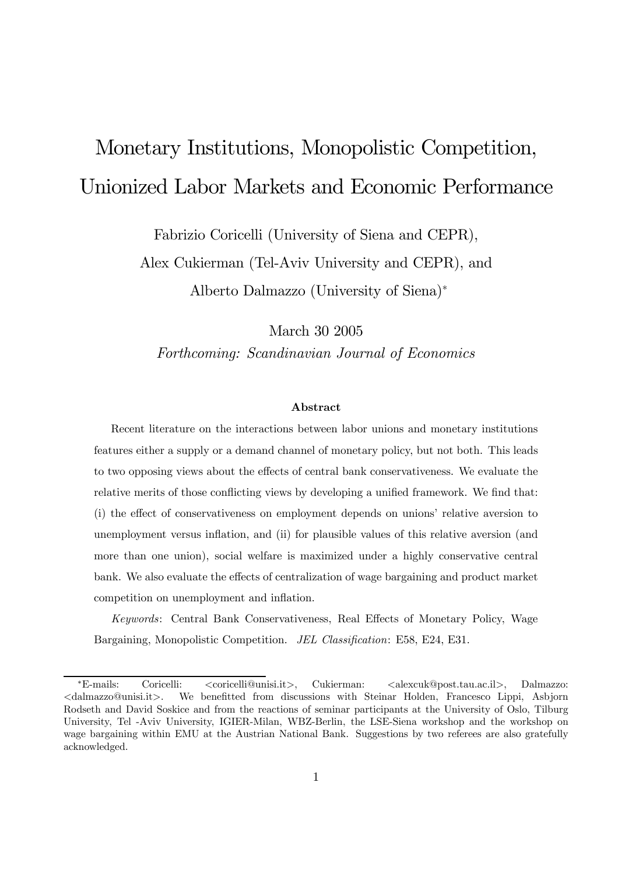# Monetary Institutions, Monopolistic Competition, Unionized Labor Markets and Economic Performance

Fabrizio Coricelli (University of Siena and CEPR), Alex Cukierman (Tel-Aviv University and CEPR), and

Alberto Dalmazzo (University of Siena)<sup>∗</sup>

March 30 2005

Forthcoming: Scandinavian Journal of Economics

#### Abstract

Recent literature on the interactions between labor unions and monetary institutions features either a supply or a demand channel of monetary policy, but not both. This leads to two opposing views about the effects of central bank conservativeness. We evaluate the relative merits of those conflicting views by developing a unified framework. We find that: (i) the effect of conservativeness on employment depends on unions' relative aversion to unemployment versus inflation, and (ii) for plausible values of this relative aversion (and more than one union), social welfare is maximized under a highly conservative central bank. We also evaluate the effects of centralization of wage bargaining and product market competition on unemployment and inflation.

Keywords: Central Bank Conservativeness, Real Effects of Monetary Policy, Wage Bargaining, Monopolistic Competition. JEL Classification: E58, E24, E31.

<sup>∗</sup>E-mails: Coricelli: <coricelli@unisi.it>, Cukierman: <alexcuk@post.tau.ac.il>, Dalmazzo: <dalmazzo@unisi.it>. We benefitted from discussions with Steinar Holden, Francesco Lippi, Asbjorn Rodseth and David Soskice and from the reactions of seminar participants at the University of Oslo, Tilburg University, Tel -Aviv University, IGIER-Milan, WBZ-Berlin, the LSE-Siena workshop and the workshop on wage bargaining within EMU at the Austrian National Bank. Suggestions by two referees are also gratefully acknowledged.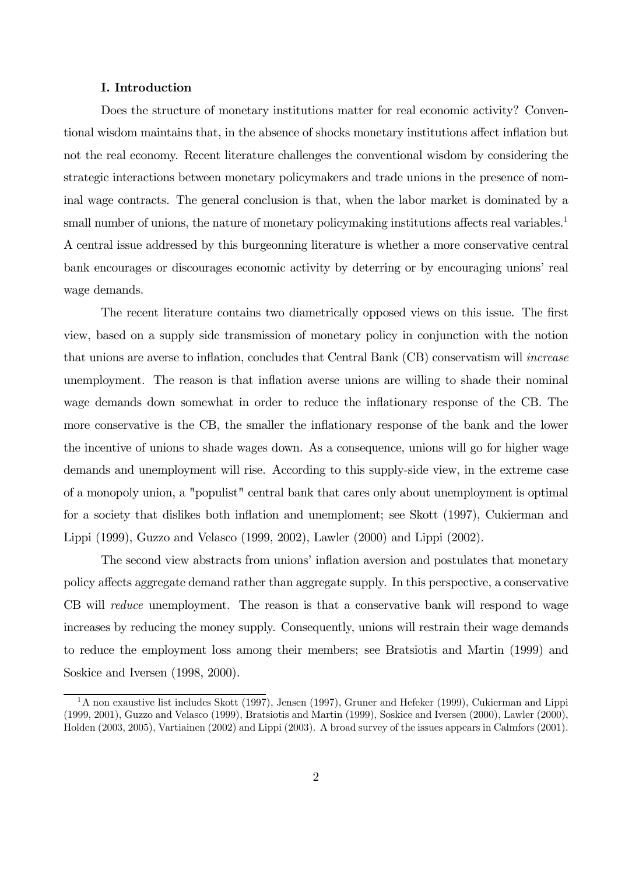# I. Introduction

Does the structure of monetary institutions matter for real economic activity? Conventional wisdom maintains that, in the absence of shocks monetary institutions affect inflation but not the real economy. Recent literature challenges the conventional wisdom by considering the strategic interactions between monetary policymakers and trade unions in the presence of nominal wage contracts. The general conclusion is that, when the labor market is dominated by a small number of unions, the nature of monetary policymaking institutions affects real variables.<sup>1</sup> A central issue addressed by this burgeonning literature is whether a more conservative central bank encourages or discourages economic activity by deterring or by encouraging unions' real wage demands.

The recent literature contains two diametrically opposed views on this issue. The first view, based on a supply side transmission of monetary policy in conjunction with the notion that unions are averse to inflation, concludes that Central Bank (CB) conservatism will increase unemployment. The reason is that inflation averse unions are willing to shade their nominal wage demands down somewhat in order to reduce the inflationary response of the CB. The more conservative is the CB, the smaller the inflationary response of the bank and the lower the incentive of unions to shade wages down. As a consequence, unions will go for higher wage demands and unemployment will rise. According to this supply-side view, in the extreme case of a monopoly union, a "populist" central bank that cares only about unemployment is optimal for a society that dislikes both inflation and unemploment; see Skott (1997), Cukierman and Lippi (1999), Guzzo and Velasco (1999, 2002), Lawler (2000) and Lippi (2002).

The second view abstracts from unions' inflation aversion and postulates that monetary policy affects aggregate demand rather than aggregate supply. In this perspective, a conservative CB will *reduce* unemployment. The reason is that a conservative bank will respond to wage increases by reducing the money supply. Consequently, unions will restrain their wage demands to reduce the employment loss among their members; see Bratsiotis and Martin (1999) and Soskice and Iversen (1998, 2000).

 $1<sup>1</sup>A$  non exaustive list includes Skott (1997), Jensen (1997), Gruner and Hefeker (1999), Cukierman and Lippi (1999, 2001), Guzzo and Velasco (1999), Bratsiotis and Martin (1999), Soskice and Iversen (2000), Lawler (2000), Holden (2003, 2005), Vartiainen (2002) and Lippi (2003). A broad survey of the issues appears in Calmfors (2001).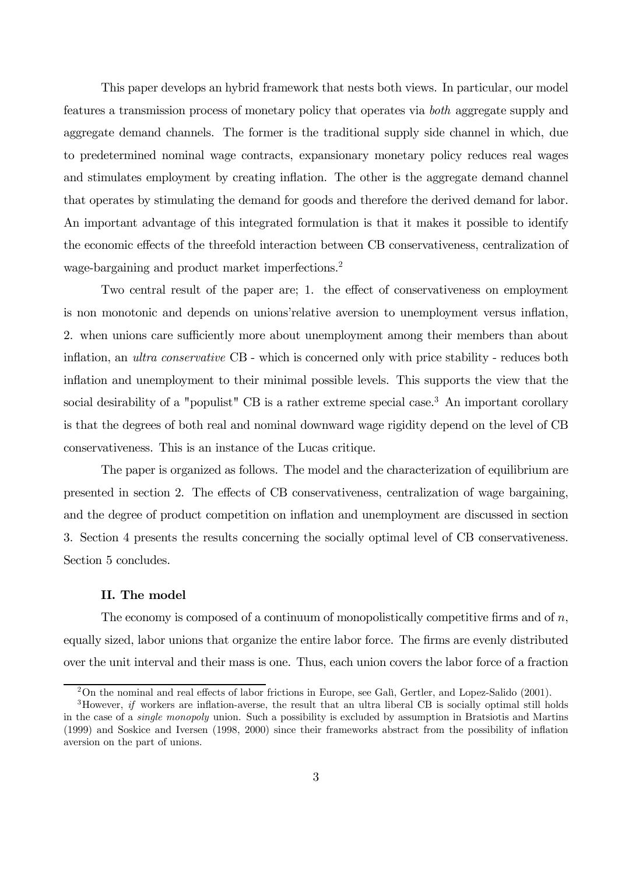This paper develops an hybrid framework that nests both views. In particular, our model features a transmission process of monetary policy that operates via both aggregate supply and aggregate demand channels. The former is the traditional supply side channel in which, due to predetermined nominal wage contracts, expansionary monetary policy reduces real wages and stimulates employment by creating inflation. The other is the aggregate demand channel that operates by stimulating the demand for goods and therefore the derived demand for labor. An important advantage of this integrated formulation is that it makes it possible to identify the economic effects of the threefold interaction between CB conservativeness, centralization of wage-bargaining and product market imperfections.<sup>2</sup>

Two central result of the paper are; 1. the effect of conservativeness on employment is non monotonic and depends on unions'relative aversion to unemployment versus inflation, 2. when unions care sufficiently more about unemployment among their members than about inflation, an ultra conservative CB - which is concerned only with price stability - reduces both inflation and unemployment to their minimal possible levels. This supports the view that the social desirability of a "populist" CB is a rather extreme special case.<sup>3</sup> An important corollary is that the degrees of both real and nominal downward wage rigidity depend on the level of CB conservativeness. This is an instance of the Lucas critique.

The paper is organized as follows. The model and the characterization of equilibrium are presented in section 2. The effects of CB conservativeness, centralization of wage bargaining, and the degree of product competition on inflation and unemployment are discussed in section 3. Section 4 presents the results concerning the socially optimal level of CB conservativeness. Section 5 concludes.

# II. The model

The economy is composed of a continuum of monopolistically competitive firms and of  $n$ , equally sized, labor unions that organize the entire labor force. The firms are evenly distributed over the unit interval and their mass is one. Thus, each union covers the labor force of a fraction

<sup>2</sup>On the nominal and real effects of labor frictions in Europe, see Galì, Gertler, and Lopez-Salido (2001).

<sup>&</sup>lt;sup>3</sup>However, *if* workers are inflation-averse, the result that an ultra liberal CB is socially optimal still holds in the case of a single monopoly union. Such a possibility is excluded by assumption in Bratsiotis and Martins (1999) and Soskice and Iversen (1998, 2000) since their frameworks abstract from the possibility of inflation aversion on the part of unions.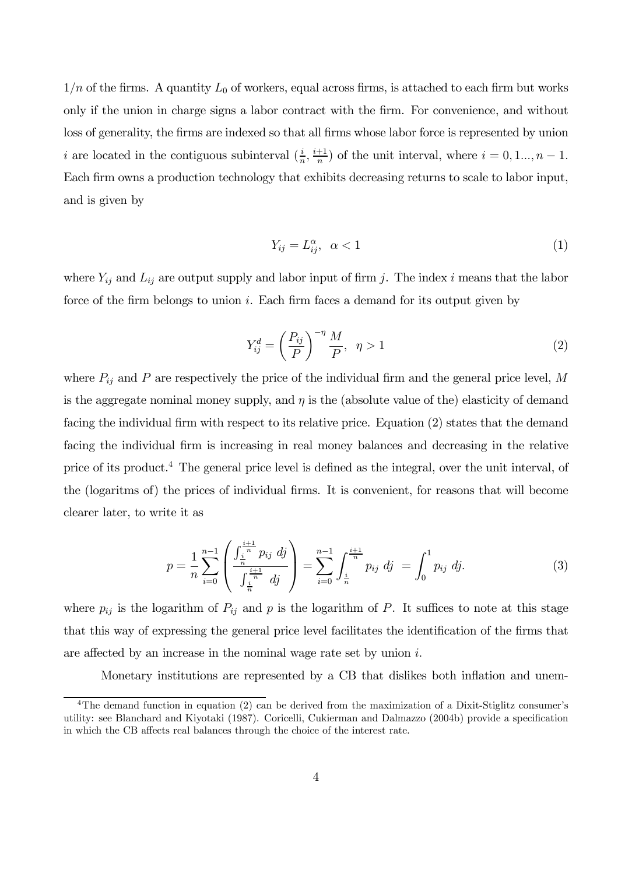$1/n$  of the firms. A quantity  $L_0$  of workers, equal across firms, is attached to each firm but works only if the union in charge signs a labor contract with the firm. For convenience, and without loss of generality, the firms are indexed so that all firms whose labor force is represented by union *i* are located in the contiguous subinterval  $(\frac{i}{n}, \frac{i+1}{n})$  of the unit interval, where  $i = 0, 1, ..., n - 1$ . Each firm owns a production technology that exhibits decreasing returns to scale to labor input, and is given by

$$
Y_{ij} = L_{ij}^{\alpha}, \quad \alpha < 1 \tag{1}
$$

where  $Y_{ij}$  and  $L_{ij}$  are output supply and labor input of firm j. The index i means that the labor force of the firm belongs to union i. Each firm faces a demand for its output given by

$$
Y_{ij}^d = \left(\frac{P_{ij}}{P}\right)^{-\eta} \frac{M}{P}, \quad \eta > 1
$$
\n<sup>(2)</sup>

where  $P_{ij}$  and P are respectively the price of the individual firm and the general price level, M is the aggregate nominal money supply, and  $\eta$  is the (absolute value of the) elasticity of demand facing the individual firm with respect to its relative price. Equation (2) states that the demand facing the individual firm is increasing in real money balances and decreasing in the relative price of its product.<sup>4</sup> The general price level is defined as the integral, over the unit interval, of the (logaritms of) the prices of individual firms. It is convenient, for reasons that will become clearer later, to write it as

$$
p = \frac{1}{n} \sum_{i=0}^{n-1} \left( \frac{\int_{\frac{i}{n}}^{\frac{i+1}{n}} p_{ij} \, dj}{\int_{\frac{i}{n}}^{\frac{i+1}{n}} dj} \right) = \sum_{i=0}^{n-1} \int_{\frac{i}{n}}^{\frac{i+1}{n}} p_{ij} \, dj = \int_{0}^{1} p_{ij} \, dj. \tag{3}
$$

where  $p_{ij}$  is the logarithm of  $P_{ij}$  and p is the logarithm of P. It suffices to note at this stage that this way of expressing the general price level facilitates the identification of the firms that are affected by an increase in the nominal wage rate set by union i.

Monetary institutions are represented by a CB that dislikes both inflation and unem-

<sup>&</sup>lt;sup>4</sup>The demand function in equation (2) can be derived from the maximization of a Dixit-Stiglitz consumer's utility: see Blanchard and Kiyotaki (1987). Coricelli, Cukierman and Dalmazzo (2004b) provide a specification in which the CB affects real balances through the choice of the interest rate.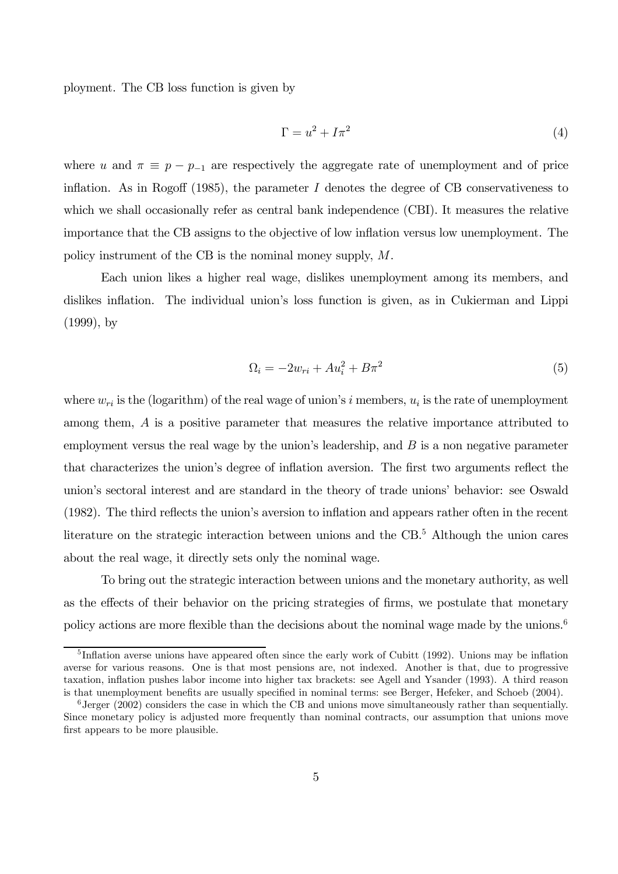ployment. The CB loss function is given by

$$
\Gamma = u^2 + I\pi^2 \tag{4}
$$

where u and  $\pi \equiv p - p_{-1}$  are respectively the aggregate rate of unemployment and of price inflation. As in Rogoff (1985), the parameter  $I$  denotes the degree of CB conservativeness to which we shall occasionally refer as central bank independence (CBI). It measures the relative importance that the CB assigns to the objective of low inflation versus low unemployment. The policy instrument of the CB is the nominal money supply, M.

Each union likes a higher real wage, dislikes unemployment among its members, and dislikes inflation. The individual union's loss function is given, as in Cukierman and Lippi (1999), by

$$
\Omega_i = -2w_{ri} + Au_i^2 + B\pi^2\tag{5}
$$

where  $w_{ri}$  is the (logarithm) of the real wage of union's i members,  $u_i$  is the rate of unemployment among them, A is a positive parameter that measures the relative importance attributed to employment versus the real wage by the union's leadership, and  $B$  is a non negative parameter that characterizes the union's degree of inflation aversion. The first two arguments reflect the union's sectoral interest and are standard in the theory of trade unions' behavior: see Oswald (1982). The third reflects the union's aversion to inflation and appears rather often in the recent literature on the strategic interaction between unions and the CB.<sup>5</sup> Although the union cares about the real wage, it directly sets only the nominal wage.

To bring out the strategic interaction between unions and the monetary authority, as well as the effects of their behavior on the pricing strategies of firms, we postulate that monetary policy actions are more flexible than the decisions about the nominal wage made by the unions.<sup>6</sup>

<sup>5</sup> Inflation averse unions have appeared often since the early work of Cubitt (1992). Unions may be inflation averse for various reasons. One is that most pensions are, not indexed. Another is that, due to progressive taxation, inflation pushes labor income into higher tax brackets: see Agell and Ysander (1993). A third reason is that unemployment benefits are usually specified in nominal terms: see Berger, Hefeker, and Schoeb (2004).

 $6$ Jerger (2002) considers the case in which the CB and unions move simultaneously rather than sequentially. Since monetary policy is adjusted more frequently than nominal contracts, our assumption that unions move first appears to be more plausible.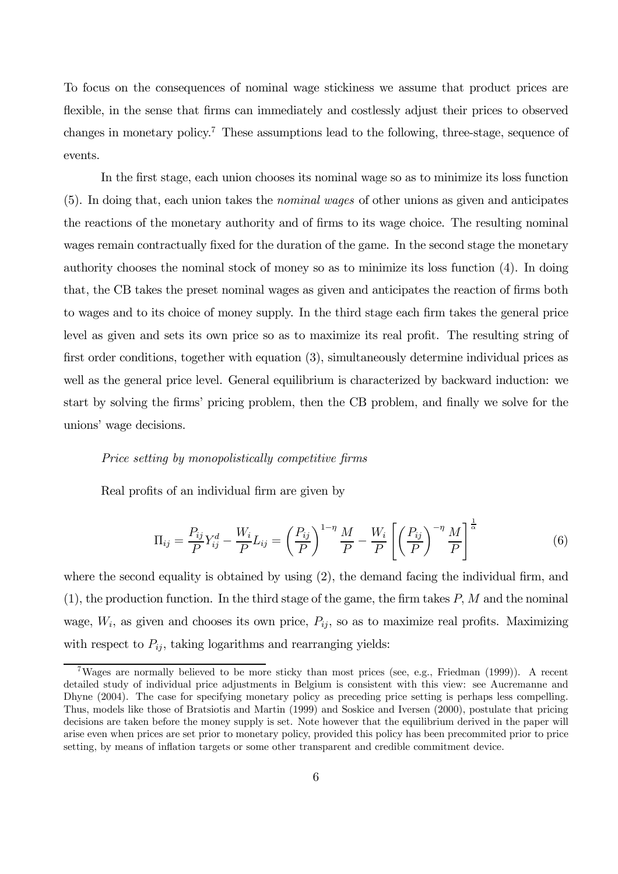To focus on the consequences of nominal wage stickiness we assume that product prices are flexible, in the sense that firms can immediately and costlessly adjust their prices to observed changes in monetary policy.<sup>7</sup> These assumptions lead to the following, three-stage, sequence of events.

In the first stage, each union chooses its nominal wage so as to minimize its loss function (5). In doing that, each union takes the nominal wages of other unions as given and anticipates the reactions of the monetary authority and of firms to its wage choice. The resulting nominal wages remain contractually fixed for the duration of the game. In the second stage the monetary authority chooses the nominal stock of money so as to minimize its loss function (4). In doing that, the CB takes the preset nominal wages as given and anticipates the reaction of firms both to wages and to its choice of money supply. In the third stage each firm takes the general price level as given and sets its own price so as to maximize its real profit. The resulting string of first order conditions, together with equation (3), simultaneously determine individual prices as well as the general price level. General equilibrium is characterized by backward induction: we start by solving the firms' pricing problem, then the CB problem, and finally we solve for the unions' wage decisions.

#### Price setting by monopolistically competitive firms

Real profits of an individual firm are given by

$$
\Pi_{ij} = \frac{P_{ij}}{P} Y_{ij}^d - \frac{W_i}{P} L_{ij} = \left(\frac{P_{ij}}{P}\right)^{1-\eta} \frac{M}{P} - \frac{W_i}{P} \left[\left(\frac{P_{ij}}{P}\right)^{-\eta} \frac{M}{P}\right]^{\frac{1}{\alpha}}
$$
(6)

where the second equality is obtained by using  $(2)$ , the demand facing the individual firm, and  $(1)$ , the production function. In the third stage of the game, the firm takes P, M and the nominal wage,  $W_i$ , as given and chooses its own price,  $P_{ij}$ , so as to maximize real profits. Maximizing with respect to  $P_{ij}$ , taking logarithms and rearranging yields:

<sup>&</sup>lt;sup>7</sup>Wages are normally believed to be more sticky than most prices (see, e.g., Friedman (1999)). A recent detailed study of individual price adjustments in Belgium is consistent with this view: see Aucremanne and Dhyne (2004). The case for specifying monetary policy as preceding price setting is perhaps less compelling. Thus, models like those of Bratsiotis and Martin (1999) and Soskice and Iversen (2000), postulate that pricing decisions are taken before the money supply is set. Note however that the equilibrium derived in the paper will arise even when prices are set prior to monetary policy, provided this policy has been precommited prior to price setting, by means of inflation targets or some other transparent and credible commitment device.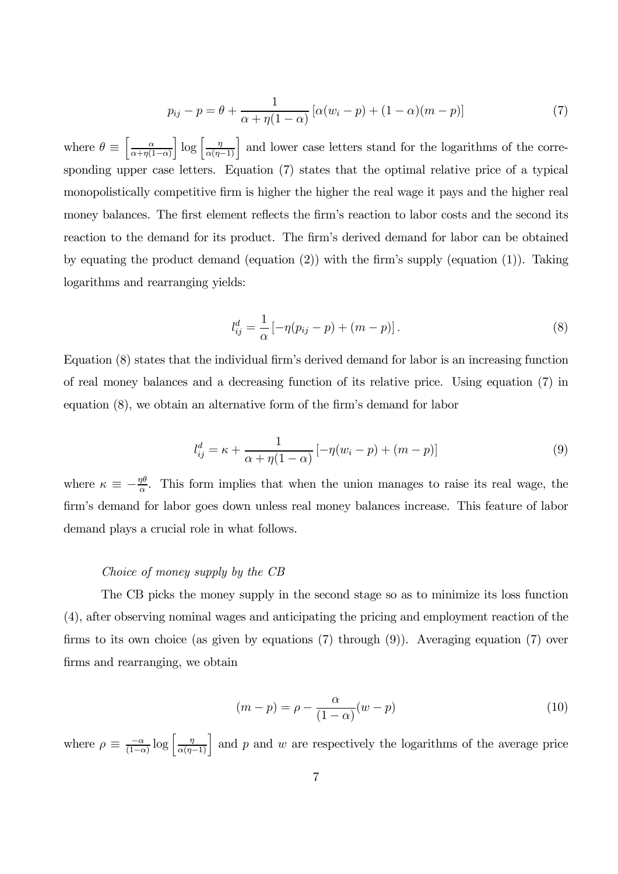$$
p_{ij} - p = \theta + \frac{1}{\alpha + \eta(1 - \alpha)} [\alpha(w_i - p) + (1 - \alpha)(m - p)] \tag{7}
$$

where  $\theta \equiv \left[ \frac{\alpha}{\alpha + \eta(1)} \right]$  $\alpha+\eta(1-\alpha)$  $\left[\log\left[\frac{\eta}{\alpha(\eta-1)}\right]$  and lower case letters stand for the logarithms of the corresponding upper case letters. Equation (7) states that the optimal relative price of a typical monopolistically competitive firm is higher the higher the real wage it pays and the higher real money balances. The first element reflects the firm's reaction to labor costs and the second its reaction to the demand for its product. The firm's derived demand for labor can be obtained by equating the product demand (equation (2)) with the firm's supply (equation (1)). Taking logarithms and rearranging yields:

$$
l_{ij}^d = \frac{1}{\alpha} \left[ -\eta (p_{ij} - p) + (m - p) \right]. \tag{8}
$$

Equation (8) states that the individual firm's derived demand for labor is an increasing function of real money balances and a decreasing function of its relative price. Using equation (7) in equation (8), we obtain an alternative form of the firm's demand for labor

$$
l_{ij}^d = \kappa + \frac{1}{\alpha + \eta(1 - \alpha)} \left[ -\eta(w_i - p) + (m - p) \right]
$$
\n(9)

where  $\kappa \equiv -\frac{\eta\theta}{\alpha}$ . This form implies that when the union manages to raise its real wage, the firm's demand for labor goes down unless real money balances increase. This feature of labor demand plays a crucial role in what follows.

# Choice of money supply by the CB

The CB picks the money supply in the second stage so as to minimize its loss function (4), after observing nominal wages and anticipating the pricing and employment reaction of the firms to its own choice (as given by equations (7) through (9)). Averaging equation (7) over firms and rearranging, we obtain

$$
(m-p) = \rho - \frac{\alpha}{(1-\alpha)}(w-p)
$$
\n(10)

where  $\rho \equiv \frac{-\alpha}{(1-\alpha)} \log \left[ \frac{\eta}{\alpha(\eta-1)} \right]$  and p and w are respectively the logarithms of the average price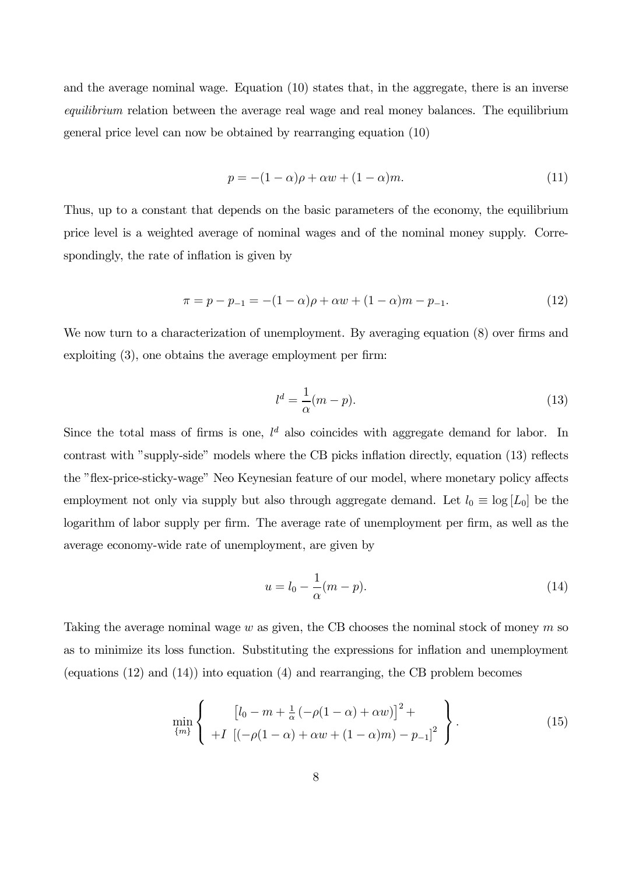and the average nominal wage. Equation (10) states that, in the aggregate, there is an inverse equilibrium relation between the average real wage and real money balances. The equilibrium general price level can now be obtained by rearranging equation (10)

$$
p = -(1 - \alpha)\rho + \alpha w + (1 - \alpha)m. \tag{11}
$$

Thus, up to a constant that depends on the basic parameters of the economy, the equilibrium price level is a weighted average of nominal wages and of the nominal money supply. Correspondingly, the rate of inflation is given by

$$
\pi = p - p_{-1} = -(1 - \alpha)\rho + \alpha w + (1 - \alpha)m - p_{-1}.
$$
\n(12)

We now turn to a characterization of unemployment. By averaging equation  $(8)$  over firms and exploiting (3), one obtains the average employment per firm:

$$
l^d = \frac{1}{\alpha}(m - p). \tag{13}
$$

Since the total mass of firms is one,  $l^d$  also coincides with aggregate demand for labor. In contrast with "supply-side" models where the CB picks inflation directly, equation (13) reflects the "flex-price-sticky-wage" Neo Keynesian feature of our model, where monetary policy affects employment not only via supply but also through aggregate demand. Let  $l_0 \equiv \log [L_0]$  be the logarithm of labor supply per firm. The average rate of unemployment per firm, as well as the average economy-wide rate of unemployment, are given by

$$
u = l_0 - \frac{1}{\alpha}(m - p). \tag{14}
$$

Taking the average nominal wage  $w$  as given, the CB chooses the nominal stock of money  $m$  so as to minimize its loss function. Substituting the expressions for inflation and unemployment (equations (12) and (14)) into equation (4) and rearranging, the CB problem becomes

$$
\min_{\{m\}} \left\{ \begin{array}{c} \left[ l_0 - m + \frac{1}{\alpha} \left( -\rho (1 - \alpha) + \alpha w \right) \right]^2 + \\ + I \left[ \left( -\rho (1 - \alpha) + \alpha w + (1 - \alpha) m \right) - p_{-1} \right]^2 \end{array} \right\}.
$$
 (15)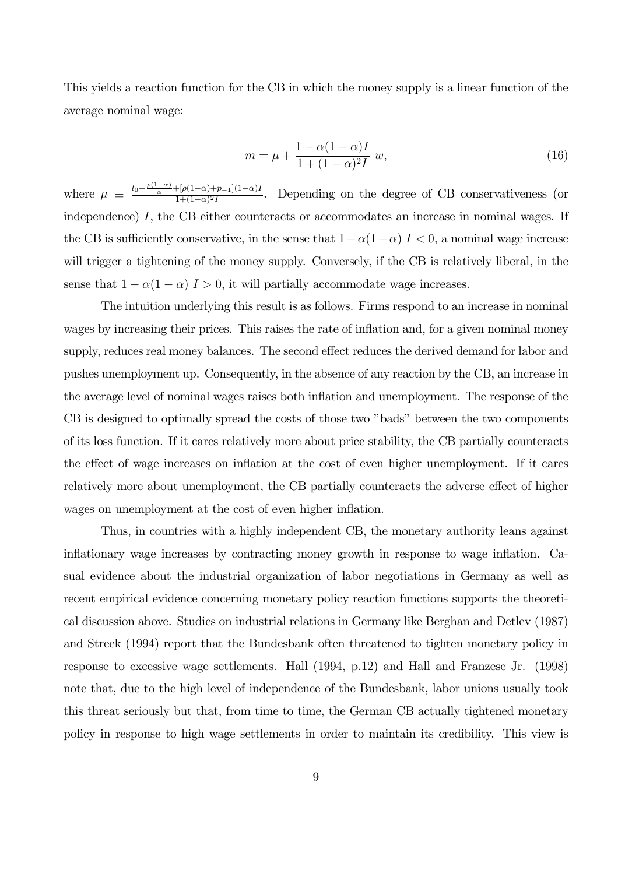This yields a reaction function for the CB in which the money supply is a linear function of the average nominal wage:

$$
m = \mu + \frac{1 - \alpha(1 - \alpha)I}{1 + (1 - \alpha)^2 I} w,
$$
\n(16)

where  $\mu \equiv \frac{l_0 - \frac{\rho(1-\alpha)}{\alpha} + [\rho(1-\alpha)+p_{-1}](1-\alpha)I}{1+(1-\alpha)^2I}$ . Depending on the degree of CB conservativeness (or independence) I, the CB either counteracts or accommodates an increase in nominal wages. If the CB is sufficiently conservative, in the sense that  $1-\alpha(1-\alpha)$   $I < 0$ , a nominal wage increase will trigger a tightening of the money supply. Conversely, if the CB is relatively liberal, in the sense that  $1 - \alpha(1 - \alpha)$  I > 0, it will partially accommodate wage increases.

The intuition underlying this result is as follows. Firms respond to an increase in nominal wages by increasing their prices. This raises the rate of inflation and, for a given nominal money supply, reduces real money balances. The second effect reduces the derived demand for labor and pushes unemployment up. Consequently, in the absence of any reaction by the CB, an increase in the average level of nominal wages raises both inflation and unemployment. The response of the CB is designed to optimally spread the costs of those two "bads" between the two components of its loss function. If it cares relatively more about price stability, the CB partially counteracts the effect of wage increases on inflation at the cost of even higher unemployment. If it cares relatively more about unemployment, the CB partially counteracts the adverse effect of higher wages on unemployment at the cost of even higher inflation.

Thus, in countries with a highly independent CB, the monetary authority leans against inflationary wage increases by contracting money growth in response to wage inflation. Casual evidence about the industrial organization of labor negotiations in Germany as well as recent empirical evidence concerning monetary policy reaction functions supports the theoretical discussion above. Studies on industrial relations in Germany like Berghan and Detlev (1987) and Streek (1994) report that the Bundesbank often threatened to tighten monetary policy in response to excessive wage settlements. Hall (1994, p.12) and Hall and Franzese Jr. (1998) note that, due to the high level of independence of the Bundesbank, labor unions usually took this threat seriously but that, from time to time, the German CB actually tightened monetary policy in response to high wage settlements in order to maintain its credibility. This view is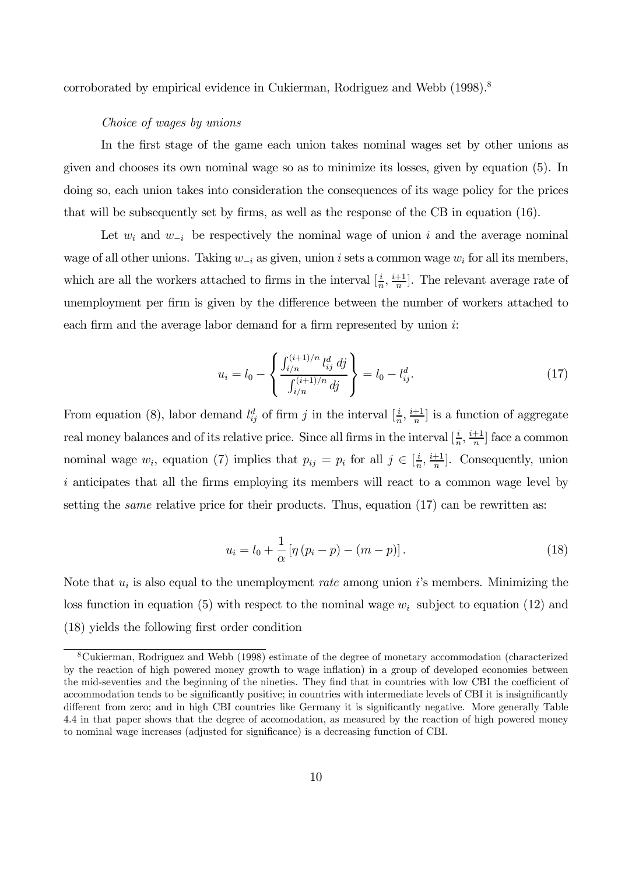corroborated by empirical evidence in Cukierman, Rodriguez and Webb (1998).<sup>8</sup>

# Choice of wages by unions

In the first stage of the game each union takes nominal wages set by other unions as given and chooses its own nominal wage so as to minimize its losses, given by equation (5). In doing so, each union takes into consideration the consequences of its wage policy for the prices that will be subsequently set by firms, as well as the response of the CB in equation  $(16)$ .

Let  $w_i$  and  $w_{-i}$  be respectively the nominal wage of union i and the average nominal wage of all other unions. Taking  $w_{-i}$  as given, union i sets a common wage  $w_i$  for all its members, which are all the workers attached to firms in the interval  $[\frac{i}{n}, \frac{i+1}{n}]$ . The relevant average rate of unemployment per firm is given by the difference between the number of workers attached to each firm and the average labor demand for a firm represented by union  $i$ :

$$
u_i = l_0 - \left\{ \frac{\int_{i/n}^{(i+1)/n} l_{ij}^d \, dj}{\int_{i/n}^{(i+1)/n} dj} \right\} = l_0 - l_{ij}^d. \tag{17}
$$

From equation (8), labor demand  $l_{ij}^d$  of firm j in the interval  $[\frac{i}{n}, \frac{i+1}{n}]$  is a function of aggregate real money balances and of its relative price. Since all firms in the interval  $[\frac{i}{n}, \frac{i+1}{n}]$  face a common nominal wage  $w_i$ , equation (7) implies that  $p_{ij} = p_i$  for all  $j \in \left[\frac{i}{n}, \frac{i+1}{n}\right]$ . Consequently, union i anticipates that all the firms employing its members will react to a common wage level by setting the *same* relative price for their products. Thus, equation  $(17)$  can be rewritten as:

$$
u_i = l_0 + \frac{1}{\alpha} \left[ \eta \left( p_i - p \right) - \left( m - p \right) \right]. \tag{18}
$$

Note that  $u_i$  is also equal to the unemployment *rate* among union i's members. Minimizing the loss function in equation (5) with respect to the nominal wage  $w_i$  subject to equation (12) and (18) yields the following first order condition

<sup>8</sup>Cukierman, Rodriguez and Webb (1998) estimate of the degree of monetary accommodation (characterized by the reaction of high powered money growth to wage inflation) in a group of developed economies between the mid-seventies and the beginning of the nineties. They find that in countries with low CBI the coefficient of accommodation tends to be significantly positive; in countries with intermediate levels of CBI it is insignificantly different from zero; and in high CBI countries like Germany it is significantly negative. More generally Table 4.4 in that paper shows that the degree of accomodation, as measured by the reaction of high powered money to nominal wage increases (adjusted for significance) is a decreasing function of CBI.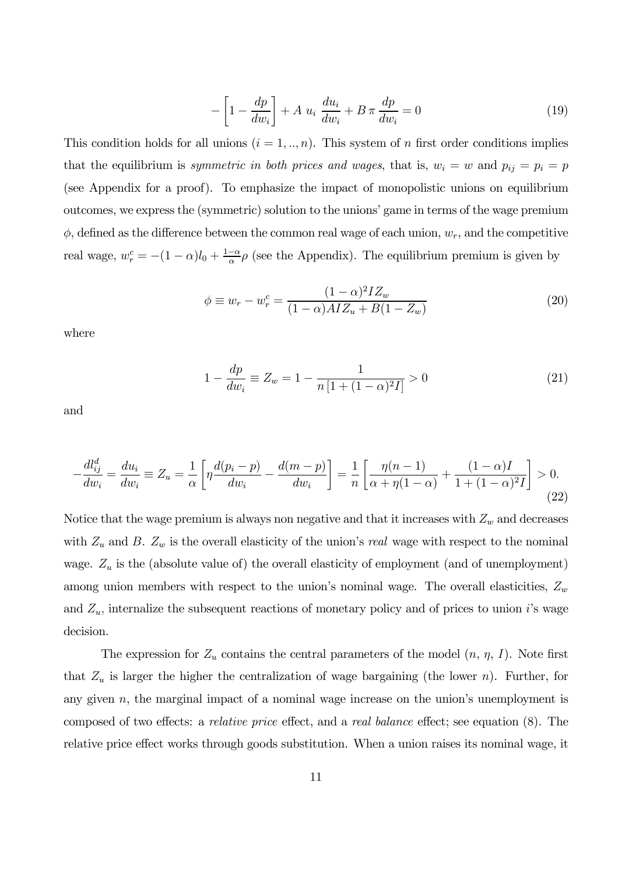$$
-\left[1 - \frac{dp}{dw_i}\right] + A u_i \frac{du_i}{dw_i} + B \pi \frac{dp}{dw_i} = 0 \tag{19}
$$

This condition holds for all unions  $(i = 1, ..., n)$ . This system of n first order conditions implies that the equilibrium is symmetric in both prices and wages, that is,  $w_i = w$  and  $p_{ij} = p_i = p$ (see Appendix for a proof). To emphasize the impact of monopolistic unions on equilibrium outcomes, we express the (symmetric) solution to the unions' game in terms of the wage premium  $\phi$ , defined as the difference between the common real wage of each union,  $w_r$ , and the competitive real wage,  $w_r^c = -(1 - \alpha)l_0 + \frac{1 - \alpha}{\alpha}\rho$  (see the Appendix). The equilibrium premium is given by

$$
\phi \equiv w_r - w_r^c = \frac{(1 - \alpha)^2 I Z_w}{(1 - \alpha) A I Z_u + B (1 - Z_w)}
$$
(20)

where

$$
1 - \frac{dp}{dw_i} \equiv Z_w = 1 - \frac{1}{n\left[1 + (1 - \alpha)^2 I\right]} > 0\tag{21}
$$

and

$$
-\frac{dl_{ij}^d}{dw_i} = \frac{du_i}{dw_i} \equiv Z_u = \frac{1}{\alpha} \left[ \eta \frac{d(p_i - p)}{dw_i} - \frac{d(m - p)}{dw_i} \right] = \frac{1}{n} \left[ \frac{\eta(n - 1)}{\alpha + \eta(1 - \alpha)} + \frac{(1 - \alpha)I}{1 + (1 - \alpha)^2 I} \right] > 0.
$$
\n(22)

Notice that the wage premium is always non negative and that it increases with  $Z_w$  and decreases with  $Z_u$  and B.  $Z_w$  is the overall elasticity of the union's real wage with respect to the nominal wage.  $Z_u$  is the (absolute value of) the overall elasticity of employment (and of unemployment) among union members with respect to the union's nominal wage. The overall elasticities,  $Z_w$ and  $Z_u$ , internalize the subsequent reactions of monetary policy and of prices to union i's wage decision.

The expression for  $Z_u$  contains the central parameters of the model  $(n, \eta, I)$ . Note first that  $Z_u$  is larger the higher the centralization of wage bargaining (the lower n). Further, for any given  $n$ , the marginal impact of a nominal wage increase on the union's unemployment is composed of two effects: a relative price effect, and a real balance effect; see equation (8). The relative price effect works through goods substitution. When a union raises its nominal wage, it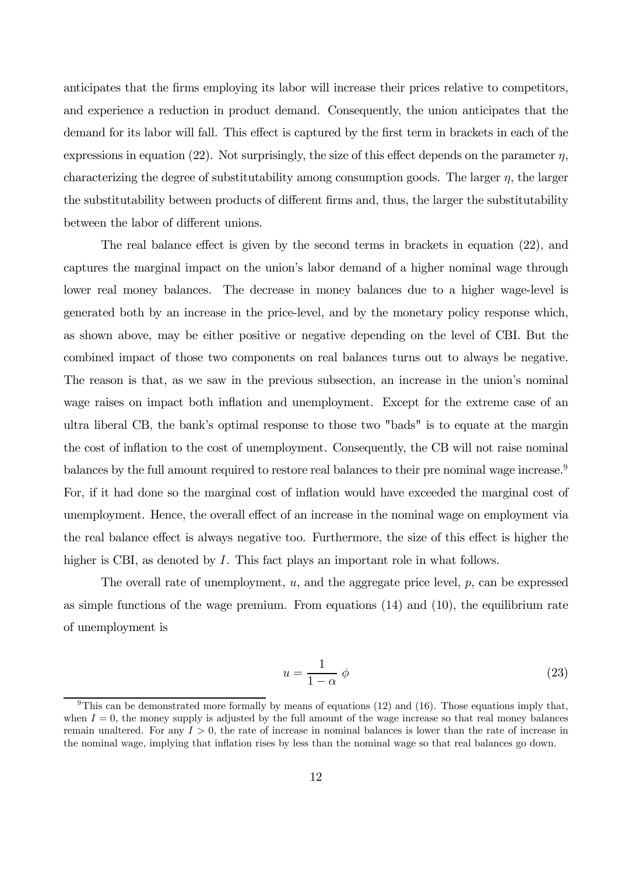anticipates that the firms employing its labor will increase their prices relative to competitors, and experience a reduction in product demand. Consequently, the union anticipates that the demand for its labor will fall. This effect is captured by the first term in brackets in each of the expressions in equation (22). Not surprisingly, the size of this effect depends on the parameter  $\eta$ , characterizing the degree of substitutability among consumption goods. The larger  $\eta$ , the larger the substitutability between products of different firms and, thus, the larger the substitutability between the labor of different unions.

The real balance effect is given by the second terms in brackets in equation (22), and captures the marginal impact on the union's labor demand of a higher nominal wage through lower real money balances. The decrease in money balances due to a higher wage-level is generated both by an increase in the price-level, and by the monetary policy response which, as shown above, may be either positive or negative depending on the level of CBI. But the combined impact of those two components on real balances turns out to always be negative. The reason is that, as we saw in the previous subsection, an increase in the union's nominal wage raises on impact both inflation and unemployment. Except for the extreme case of an ultra liberal CB, the bank's optimal response to those two "bads" is to equate at the margin the cost of inflation to the cost of unemployment. Consequently, the CB will not raise nominal balances by the full amount required to restore real balances to their pre nominal wage increase.<sup>9</sup> For, if it had done so the marginal cost of inflation would have exceeded the marginal cost of unemployment. Hence, the overall effect of an increase in the nominal wage on employment via the real balance effect is always negative too. Furthermore, the size of this effect is higher the higher is CBI, as denoted by I. This fact plays an important role in what follows.

The overall rate of unemployment, u, and the aggregate price level, p, can be expressed as simple functions of the wage premium. From equations (14) and (10), the equilibrium rate of unemployment is

$$
u = \frac{1}{1 - \alpha} \phi \tag{23}
$$

<sup>&</sup>lt;sup>9</sup>This can be demonstrated more formally by means of equations (12) and (16). Those equations imply that, when  $I = 0$ , the money supply is adjusted by the full amount of the wage increase so that real money balances remain unaltered. For any  $I > 0$ , the rate of increase in nominal balances is lower than the rate of increase in the nominal wage, implying that inflation rises by less than the nominal wage so that real balances go down.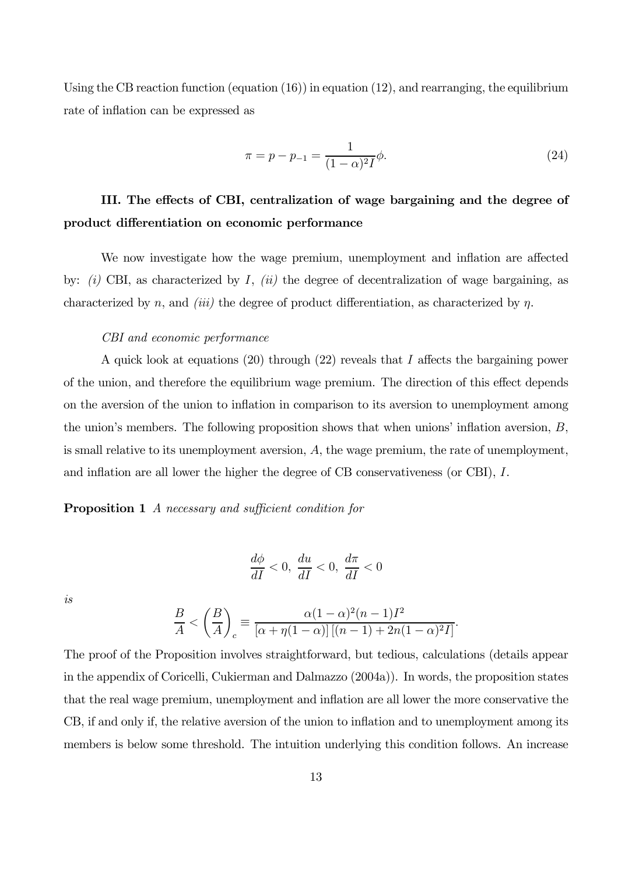Using the CB reaction function (equation (16)) in equation (12), and rearranging, the equilibrium rate of inflation can be expressed as

$$
\pi = p - p_{-1} = \frac{1}{(1 - \alpha)^2 I} \phi.
$$
\n(24)

# III. The effects of CBI, centralization of wage bargaining and the degree of product differentiation on economic performance

We now investigate how the wage premium, unemployment and inflation are affected by:  $(i)$  CBI, as characterized by I,  $(ii)$  the degree of decentralization of wage bargaining, as characterized by n, and *(iii)* the degree of product differentiation, as characterized by n.

#### CBI and economic performance

A quick look at equations (20) through (22) reveals that I affects the bargaining power of the union, and therefore the equilibrium wage premium. The direction of this effect depends on the aversion of the union to inflation in comparison to its aversion to unemployment among the union's members. The following proposition shows that when unions' inflation aversion, B, is small relative to its unemployment aversion,  $A$ , the wage premium, the rate of unemployment, and inflation are all lower the higher the degree of CB conservativeness (or CBI), I.

# Proposition 1 A necessary and sufficient condition for

$$
\frac{d\phi}{dI} < 0, \, \frac{du}{dI} < 0, \, \frac{d\pi}{dI} < 0
$$

is

$$
\frac{B}{A} < \left(\frac{B}{A}\right)_c \equiv \frac{\alpha(1-\alpha)^2(n-1)I^2}{\left[\alpha + \eta(1-\alpha)\right]\left[(n-1) + 2n(1-\alpha)^2I\right]}
$$

.

The proof of the Proposition involves straightforward, but tedious, calculations (details appear in the appendix of Coricelli, Cukierman and Dalmazzo (2004a)). In words, the proposition states that the real wage premium, unemployment and inflation are all lower the more conservative the CB, if and only if, the relative aversion of the union to inflation and to unemployment among its members is below some threshold. The intuition underlying this condition follows. An increase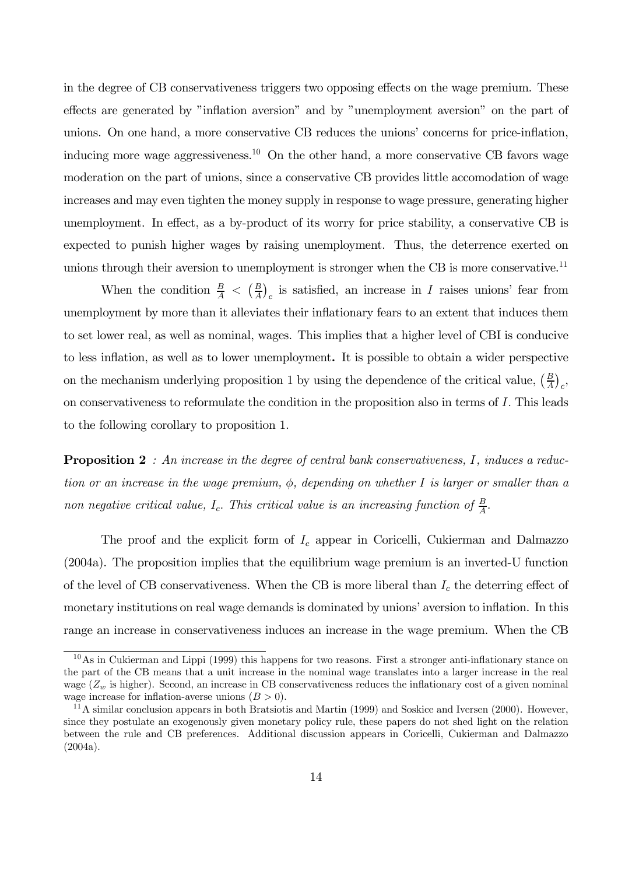in the degree of CB conservativeness triggers two opposing effects on the wage premium. These effects are generated by "inflation aversion" and by "unemployment aversion" on the part of unions. On one hand, a more conservative CB reduces the unions' concerns for price-inflation, inducing more wage aggressiveness.<sup>10</sup> On the other hand, a more conservative CB favors wage moderation on the part of unions, since a conservative CB provides little accomodation of wage increases and may even tighten the money supply in response to wage pressure, generating higher unemployment. In effect, as a by-product of its worry for price stability, a conservative CB is expected to punish higher wages by raising unemployment. Thus, the deterrence exerted on unions through their aversion to unemployment is stronger when the CB is more conservative.<sup>11</sup>

When the condition  $\frac{B}{A} < (\frac{B}{A})_c$  is satisfied, an increase in I raises unions' fear from unemployment by more than it alleviates their inflationary fears to an extent that induces them to set lower real, as well as nominal, wages. This implies that a higher level of CBI is conducive to less inflation, as well as to lower unemployment. It is possible to obtain a wider perspective on the mechanism underlying proposition 1 by using the dependence of the critical value,  $\left(\frac{B}{A}\right)_c$ , on conservativeness to reformulate the condition in the proposition also in terms of I. This leads to the following corollary to proposition 1.

**Proposition 2** : An increase in the degree of central bank conservativeness, I, induces a reduction or an increase in the wage premium,  $\phi$ , depending on whether I is larger or smaller than a non negative critical value,  $I_c$ . This critical value is an increasing function of  $\frac{B}{A}$ .

The proof and the explicit form of  $I_c$  appear in Coricelli, Cukierman and Dalmazzo (2004a). The proposition implies that the equilibrium wage premium is an inverted-U function of the level of CB conservativeness. When the CB is more liberal than  $I_c$  the deterring effect of monetary institutions on real wage demands is dominated by unions' aversion to inflation. In this range an increase in conservativeness induces an increase in the wage premium. When the CB

 $10\,\mathrm{As}$  in Cukierman and Lippi (1999) this happens for two reasons. First a stronger anti-inflationary stance on the part of the CB means that a unit increase in the nominal wage translates into a larger increase in the real wage  $(Z_w)$  is higher). Second, an increase in CB conservativeness reduces the inflationary cost of a given nominal wage increase for inflation-averse unions  $(B > 0)$ .

 $11$ A similar conclusion appears in both Bratsiotis and Martin (1999) and Soskice and Iversen (2000). However, since they postulate an exogenously given monetary policy rule, these papers do not shed light on the relation between the rule and CB preferences. Additional discussion appears in Coricelli, Cukierman and Dalmazzo  $(2004a).$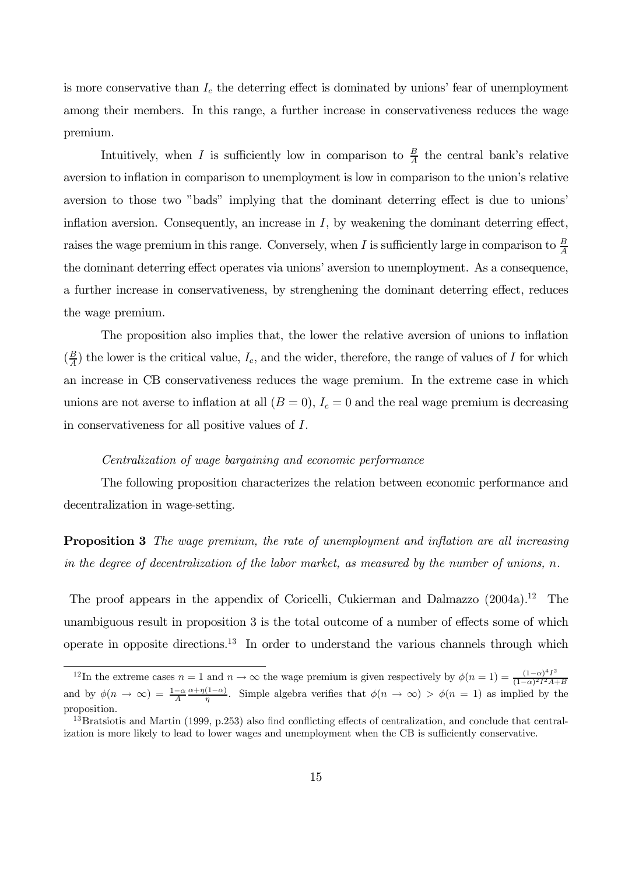is more conservative than  $I_c$  the deterring effect is dominated by unions' fear of unemployment among their members. In this range, a further increase in conservativeness reduces the wage premium.

Intuitively, when I is sufficiently low in comparison to  $\frac{B}{A}$  the central bank's relative aversion to inflation in comparison to unemployment is low in comparison to the union's relative aversion to those two "bads" implying that the dominant deterring effect is due to unions' inflation aversion. Consequently, an increase in  $I$ , by weakening the dominant deterring effect, raises the wage premium in this range. Conversely, when I is sufficiently large in comparison to  $\frac{B}{A}$ the dominant deterring effect operates via unions' aversion to unemployment. As a consequence, a further increase in conservativeness, by strenghening the dominant deterring effect, reduces the wage premium.

The proposition also implies that, the lower the relative aversion of unions to inflation  $(\frac{B}{A})$  the lower is the critical value,  $I_c$ , and the wider, therefore, the range of values of I for which an increase in CB conservativeness reduces the wage premium. In the extreme case in which unions are not averse to inflation at all  $(B = 0)$ ,  $I_c = 0$  and the real wage premium is decreasing in conservativeness for all positive values of I.

# Centralization of wage bargaining and economic performance

The following proposition characterizes the relation between economic performance and decentralization in wage-setting.

**Proposition 3** The wage premium, the rate of unemployment and inflation are all increasing in the degree of decentralization of the labor market, as measured by the number of unions,  $n$ .

The proof appears in the appendix of Coricelli, Cukierman and Dalmazzo (2004a).<sup>12</sup> The unambiguous result in proposition 3 is the total outcome of a number of effects some of which operate in opposite directions.<sup>13</sup> In order to understand the various channels through which

<sup>&</sup>lt;sup>12</sup>In the extreme cases  $n = 1$  and  $n \to \infty$  the wage premium is given respectively by  $\phi(n = 1) = \frac{(1-\alpha)^4 I^2}{(1-\alpha)^2 I^2 A + B}$ and by  $\phi(n \to \infty) = \frac{1-\alpha}{A} \frac{\alpha + \eta(1-\alpha)}{\eta}$ . Simple algebra verifies that  $\phi(n \to \infty) > \phi(n = 1)$  as implied by the proposition.

 $13$ Bratsiotis and Martin (1999, p.253) also find conflicting effects of centralization, and conclude that centralization is more likely to lead to lower wages and unemployment when the CB is sufficiently conservative.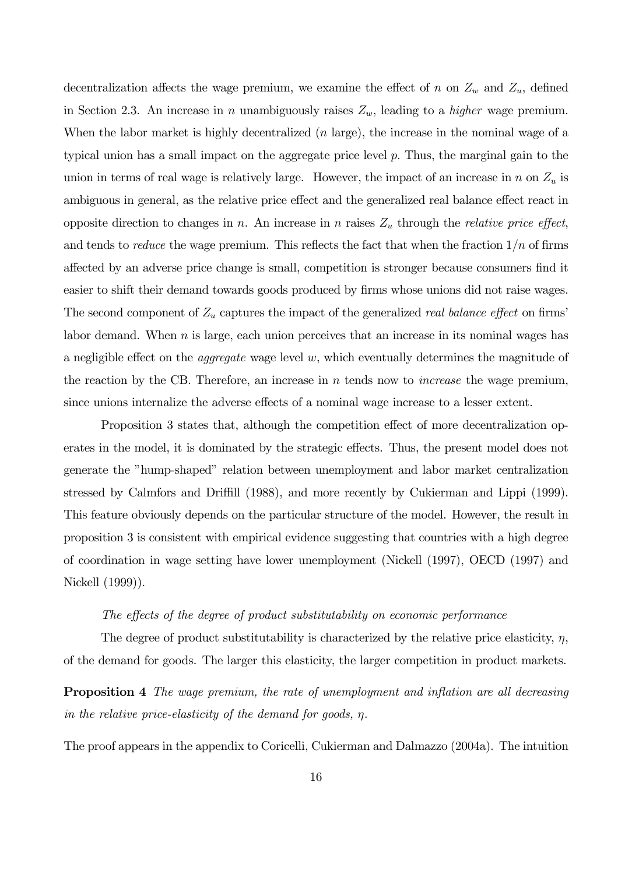decentralization affects the wage premium, we examine the effect of n on  $Z_w$  and  $Z_u$ , defined in Section 2.3. An increase in n unambiguously raises  $Z_w$ , leading to a *higher* wage premium. When the labor market is highly decentralized  $(n \text{ large})$ , the increase in the nominal wage of a typical union has a small impact on the aggregate price level  $p$ . Thus, the marginal gain to the union in terms of real wage is relatively large. However, the impact of an increase in n on  $Z_u$  is ambiguous in general, as the relative price effect and the generalized real balance effect react in opposite direction to changes in n. An increase in n raises  $Z_u$  through the *relative price effect*, and tends to *reduce* the wage premium. This reflects the fact that when the fraction  $1/n$  of firms affected by an adverse price change is small, competition is stronger because consumers find it easier to shift their demand towards goods produced by firms whose unions did not raise wages. The second component of  $Z_u$  captures the impact of the generalized real balance effect on firms' labor demand. When  $n$  is large, each union perceives that an increase in its nominal wages has a negligible effect on the *aggregate* wage level w, which eventually determines the magnitude of the reaction by the CB. Therefore, an increase in  $n$  tends now to *increase* the wage premium, since unions internalize the adverse effects of a nominal wage increase to a lesser extent.

Proposition 3 states that, although the competition effect of more decentralization operates in the model, it is dominated by the strategic effects. Thus, the present model does not generate the "hump-shaped" relation between unemployment and labor market centralization stressed by Calmfors and Driffill (1988), and more recently by Cukierman and Lippi (1999). This feature obviously depends on the particular structure of the model. However, the result in proposition 3 is consistent with empirical evidence suggesting that countries with a high degree of coordination in wage setting have lower unemployment (Nickell (1997), OECD (1997) and Nickell (1999)).

#### The effects of the degree of product substitutability on economic performance

The degree of product substitutability is characterized by the relative price elasticity,  $\eta$ , of the demand for goods. The larger this elasticity, the larger competition in product markets.

**Proposition 4** The wage premium, the rate of unemployment and inflation are all decreasing in the relative price-elasticity of the demand for goods, η.

The proof appears in the appendix to Coricelli, Cukierman and Dalmazzo (2004a). The intuition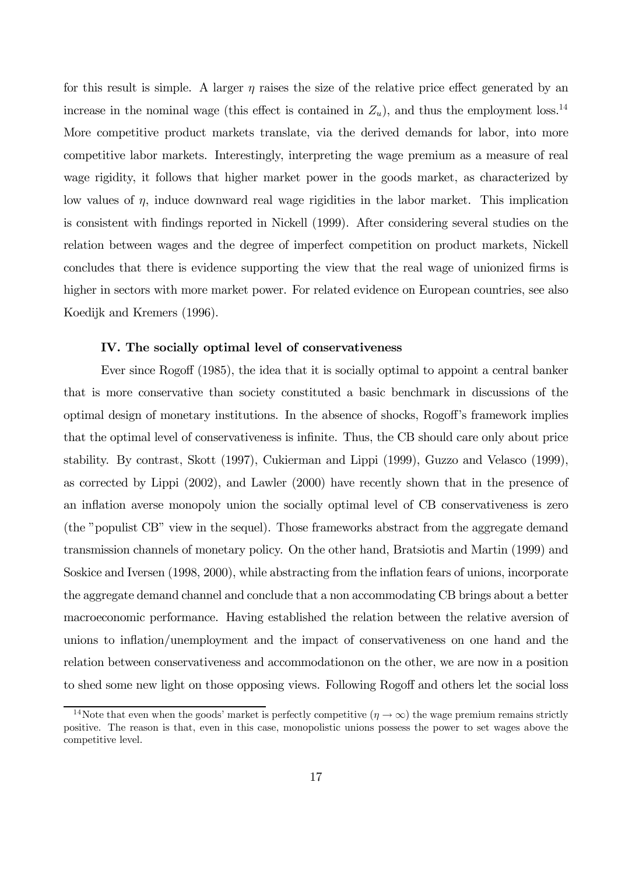for this result is simple. A larger  $\eta$  raises the size of the relative price effect generated by an increase in the nominal wage (this effect is contained in  $Z_u$ ), and thus the employment loss.<sup>14</sup> More competitive product markets translate, via the derived demands for labor, into more competitive labor markets. Interestingly, interpreting the wage premium as a measure of real wage rigidity, it follows that higher market power in the goods market, as characterized by low values of  $\eta$ , induce downward real wage rigidities in the labor market. This implication is consistent with findings reported in Nickell (1999). After considering several studies on the relation between wages and the degree of imperfect competition on product markets, Nickell concludes that there is evidence supporting the view that the real wage of unionized firms is higher in sectors with more market power. For related evidence on European countries, see also Koedijk and Kremers (1996).

# IV. The socially optimal level of conservativeness

Ever since Rogoff (1985), the idea that it is socially optimal to appoint a central banker that is more conservative than society constituted a basic benchmark in discussions of the optimal design of monetary institutions. In the absence of shocks, Rogoff's framework implies that the optimal level of conservativeness is infinite. Thus, the CB should care only about price stability. By contrast, Skott (1997), Cukierman and Lippi (1999), Guzzo and Velasco (1999), as corrected by Lippi (2002), and Lawler (2000) have recently shown that in the presence of an inflation averse monopoly union the socially optimal level of CB conservativeness is zero (the "populist CB" view in the sequel). Those frameworks abstract from the aggregate demand transmission channels of monetary policy. On the other hand, Bratsiotis and Martin (1999) and Soskice and Iversen (1998, 2000), while abstracting from the inflation fears of unions, incorporate the aggregate demand channel and conclude that a non accommodating CB brings about a better macroeconomic performance. Having established the relation between the relative aversion of unions to inflation/unemployment and the impact of conservativeness on one hand and the relation between conservativeness and accommodationon on the other, we are now in a position to shed some new light on those opposing views. Following Rogoff and others let the social loss

<sup>&</sup>lt;sup>14</sup>Note that even when the goods' market is perfectly competitive  $(\eta \to \infty)$  the wage premium remains strictly positive. The reason is that, even in this case, monopolistic unions possess the power to set wages above the competitive level.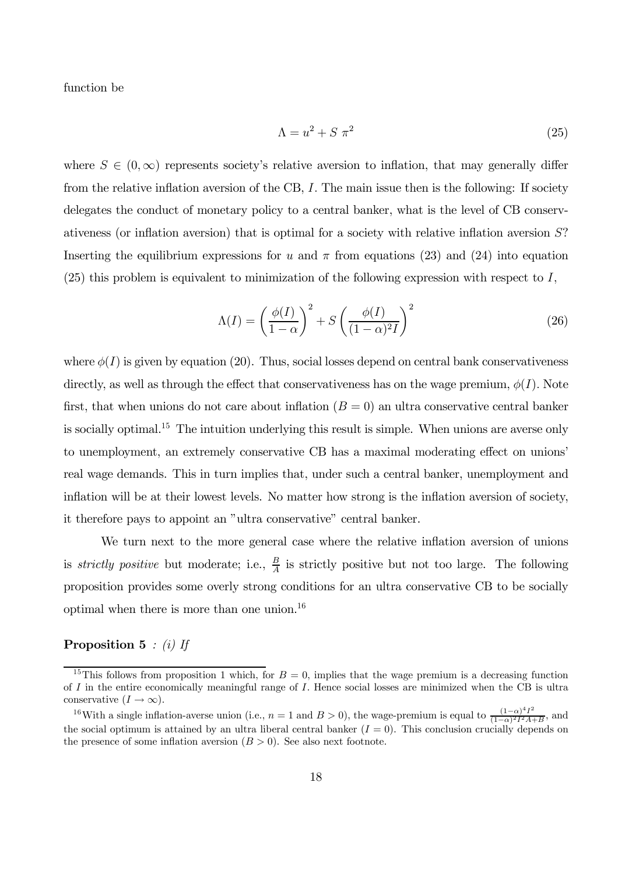function be

$$
\Lambda = u^2 + S \pi^2 \tag{25}
$$

where  $S \in (0,\infty)$  represents society's relative aversion to inflation, that may generally differ from the relative inflation aversion of the CB, I. The main issue then is the following: If society delegates the conduct of monetary policy to a central banker, what is the level of CB conservativeness (or inflation aversion) that is optimal for a society with relative inflation aversion S? Inserting the equilibrium expressions for u and  $\pi$  from equations (23) and (24) into equation  $(25)$  this problem is equivalent to minimization of the following expression with respect to I,

$$
\Lambda(I) = \left(\frac{\phi(I)}{1-\alpha}\right)^2 + S\left(\frac{\phi(I)}{(1-\alpha)^2I}\right)^2\tag{26}
$$

where  $\phi(I)$  is given by equation (20). Thus, social losses depend on central bank conservativeness directly, as well as through the effect that conservativeness has on the wage premium,  $\phi(I)$ . Note first, that when unions do not care about inflation  $(B = 0)$  an ultra conservative central banker is socially optimal.<sup>15</sup> The intuition underlying this result is simple. When unions are averse only to unemployment, an extremely conservative CB has a maximal moderating effect on unions' real wage demands. This in turn implies that, under such a central banker, unemployment and inflation will be at their lowest levels. No matter how strong is the inflation aversion of society, it therefore pays to appoint an "ultra conservative" central banker.

We turn next to the more general case where the relative inflation aversion of unions is *strictly positive* but moderate; i.e.,  $\frac{B}{A}$  is strictly positive but not too large. The following proposition provides some overly strong conditions for an ultra conservative CB to be socially optimal when there is more than one union.<sup>16</sup>

# **Proposition 5** : (i) If

<sup>&</sup>lt;sup>15</sup>This follows from proposition 1 which, for  $B = 0$ , implies that the wage premium is a decreasing function of I in the entire economically meaningful range of I. Hence social losses are minimized when the CB is ultra conservative  $(I \to \infty)$ .

<sup>&</sup>lt;sup>16</sup>With a single inflation-averse union (i.e.,  $n = 1$  and  $B > 0$ ), the wage-premium is equal to  $\frac{(1-\alpha)^4 I^2}{(1-\alpha)^2 I^2 A + B}$ , and the social optimum is attained by an ultra liberal central banker  $(I = 0)$ . This conclusion crucially depends on the presence of some inflation aversion  $(B > 0)$ . See also next footnote.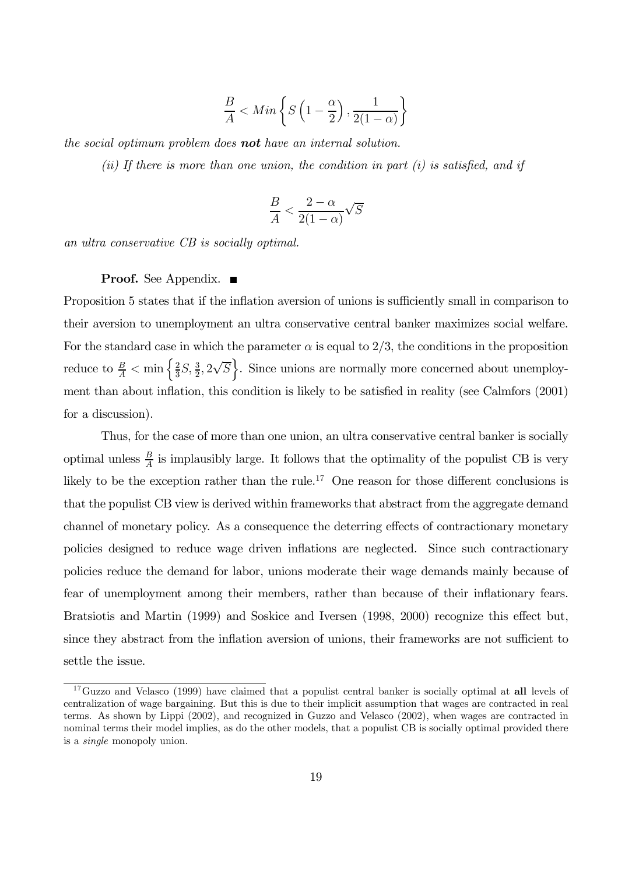$$
\frac{B}{A} < Min\left\{S\left(1 - \frac{\alpha}{2}\right), \frac{1}{2(1 - \alpha)}\right\}
$$

the social optimum problem does **not** have an internal solution.

(ii) If there is more than one union, the condition in part  $(i)$  is satisfied, and if

$$
\frac{B}{A} < \frac{2-\alpha}{2(1-\alpha)}\sqrt{S}
$$

an ultra conservative CB is socially optimal.

# Proof. See Appendix. ■

Proposition 5 states that if the inflation aversion of unions is sufficiently small in comparison to their aversion to unemployment an ultra conservative central banker maximizes social welfare. For the standard case in which the parameter  $\alpha$  is equal to 2/3, the conditions in the proposition reduce to  $\frac{B}{A} < \min\left\{\frac{2}{3}S, \frac{3}{2}, 2\sqrt{S}\right\}$ . Since unions are normally more concerned about unemployment than about inflation, this condition is likely to be satisfied in reality (see Calmfors (2001) for a discussion).

Thus, for the case of more than one union, an ultra conservative central banker is socially optimal unless  $\frac{B}{A}$  is implausibly large. It follows that the optimality of the populist CB is very likely to be the exception rather than the rule.<sup>17</sup> One reason for those different conclusions is that the populist CB view is derived within frameworks that abstract from the aggregate demand channel of monetary policy. As a consequence the deterring effects of contractionary monetary policies designed to reduce wage driven inflations are neglected. Since such contractionary policies reduce the demand for labor, unions moderate their wage demands mainly because of fear of unemployment among their members, rather than because of their inflationary fears. Bratsiotis and Martin (1999) and Soskice and Iversen (1998, 2000) recognize this effect but, since they abstract from the inflation aversion of unions, their frameworks are not sufficient to settle the issue.

<sup>&</sup>lt;sup>17</sup>Guzzo and Velasco (1999) have claimed that a populist central banker is socially optimal at all levels of centralization of wage bargaining. But this is due to their implicit assumption that wages are contracted in real terms. As shown by Lippi (2002), and recognized in Guzzo and Velasco (2002), when wages are contracted in nominal terms their model implies, as do the other models, that a populist CB is socially optimal provided there is a single monopoly union.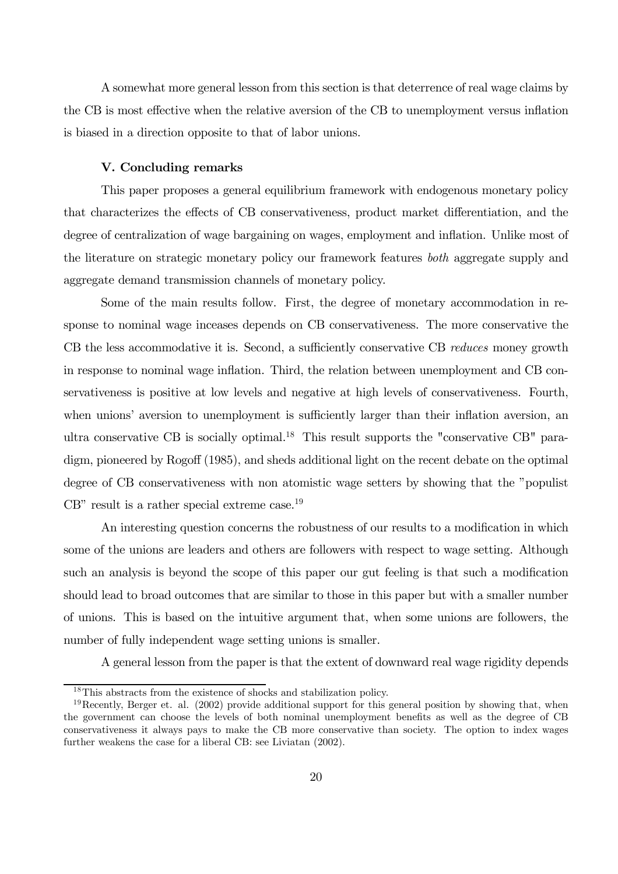A somewhat more general lesson from this section is that deterrence of real wage claims by the CB is most effective when the relative aversion of the CB to unemployment versus inflation is biased in a direction opposite to that of labor unions.

# V. Concluding remarks

This paper proposes a general equilibrium framework with endogenous monetary policy that characterizes the effects of CB conservativeness, product market differentiation, and the degree of centralization of wage bargaining on wages, employment and inflation. Unlike most of the literature on strategic monetary policy our framework features both aggregate supply and aggregate demand transmission channels of monetary policy.

Some of the main results follow. First, the degree of monetary accommodation in response to nominal wage inceases depends on CB conservativeness. The more conservative the CB the less accommodative it is. Second, a sufficiently conservative CB reduces money growth in response to nominal wage inflation. Third, the relation between unemployment and CB conservativeness is positive at low levels and negative at high levels of conservativeness. Fourth, when unions' aversion to unemployment is sufficiently larger than their inflation aversion, an ultra conservative CB is socially optimal.<sup>18</sup> This result supports the "conservative CB" paradigm, pioneered by Rogoff (1985), and sheds additional light on the recent debate on the optimal degree of CB conservativeness with non atomistic wage setters by showing that the "populist  $CB"$  result is a rather special extreme case.<sup>19</sup>

An interesting question concerns the robustness of our results to a modification in which some of the unions are leaders and others are followers with respect to wage setting. Although such an analysis is beyond the scope of this paper our gut feeling is that such a modification should lead to broad outcomes that are similar to those in this paper but with a smaller number of unions. This is based on the intuitive argument that, when some unions are followers, the number of fully independent wage setting unions is smaller.

A general lesson from the paper is that the extent of downward real wage rigidity depends

<sup>18</sup>This abstracts from the existence of shocks and stabilization policy.

 $19$ Recently, Berger et. al. (2002) provide additional support for this general position by showing that, when the government can choose the levels of both nominal unemployment benefits as well as the degree of CB conservativeness it always pays to make the CB more conservative than society. The option to index wages further weakens the case for a liberal CB: see Liviatan (2002).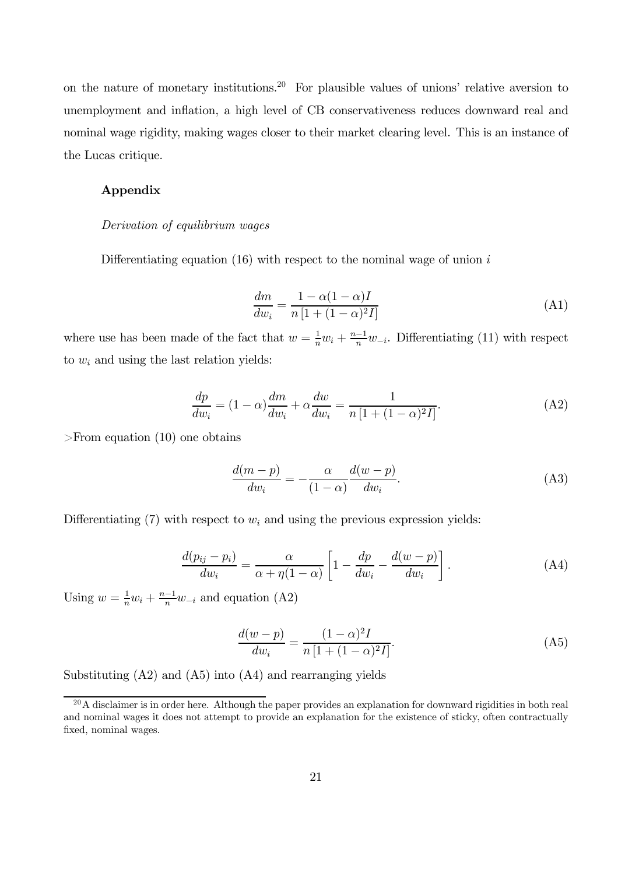on the nature of monetary institutions.<sup>20</sup> For plausible values of unions' relative aversion to unemployment and inflation, a high level of CB conservativeness reduces downward real and nominal wage rigidity, making wages closer to their market clearing level. This is an instance of the Lucas critique.

# Appendix

## Derivation of equilibrium wages

Differentiating equation  $(16)$  with respect to the nominal wage of union i

$$
\frac{dm}{dw_i} = \frac{1 - \alpha(1 - \alpha)I}{n\left[1 + (1 - \alpha)^2 I\right]}
$$
\n(A1)

where use has been made of the fact that  $w = \frac{1}{n}w_i + \frac{n-1}{n}w_{-i}$ . Differentiating (11) with respect to  $w_i$  and using the last relation yields:

$$
\frac{dp}{dw_i} = (1 - \alpha)\frac{dm}{dw_i} + \alpha\frac{dw}{dw_i} = \frac{1}{n\left[1 + (1 - \alpha)^2 I\right]}.
$$
\n(A2)

>From equation (10) one obtains

$$
\frac{d(m-p)}{dw_i} = -\frac{\alpha}{(1-\alpha)} \frac{d(w-p)}{dw_i}.
$$
\n(A3)

Differentiating (7) with respect to  $w_i$  and using the previous expression yields:

$$
\frac{d(p_{ij} - p_i)}{dw_i} = \frac{\alpha}{\alpha + \eta(1 - \alpha)} \left[ 1 - \frac{dp}{dw_i} - \frac{d(w - p)}{dw_i} \right].
$$
\n(A4)

Using  $w = \frac{1}{n}w_i + \frac{n-1}{n}w_{-i}$  and equation (A2)

$$
\frac{d(w-p)}{dw_i} = \frac{(1-\alpha)^2 I}{n [1 + (1-\alpha)^2 I]}.
$$
\n(A5)

Substituting (A2) and (A5) into (A4) and rearranging yields

 $^{20}$ A disclaimer is in order here. Although the paper provides an explanation for downward rigidities in both real and nominal wages it does not attempt to provide an explanation for the existence of sticky, often contractually fixed, nominal wages.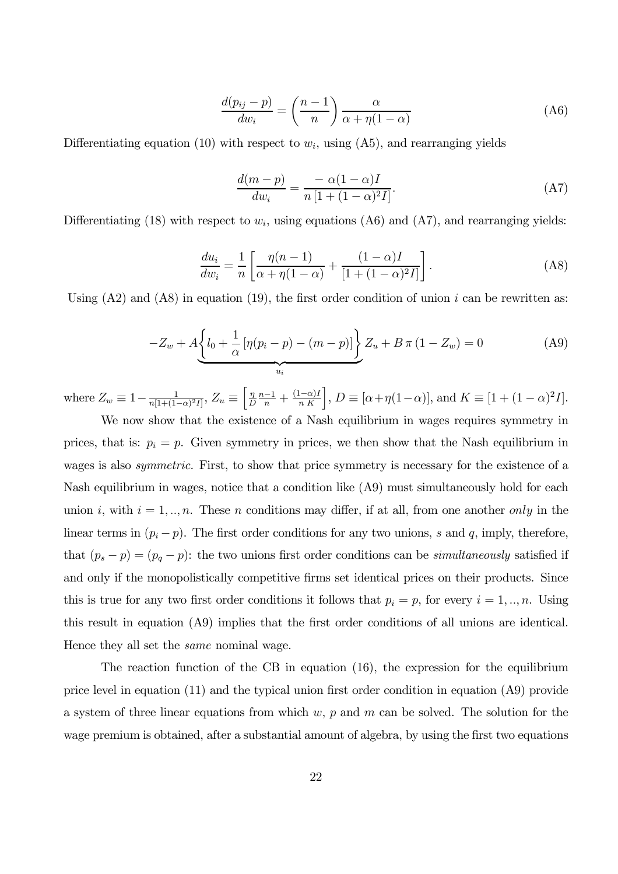$$
\frac{d(p_{ij} - p)}{dw_i} = \left(\frac{n-1}{n}\right)\frac{\alpha}{\alpha + \eta(1-\alpha)}\tag{A6}
$$

Differentiating equation (10) with respect to  $w_i$ , using (A5), and rearranging yields

$$
\frac{d(m-p)}{dw_i} = \frac{-\alpha(1-\alpha)I}{n\left[1+(1-\alpha)^2I\right]}.
$$
\n(A7)

Differentiating (18) with respect to  $w_i$ , using equations (A6) and (A7), and rearranging yields:

$$
\frac{du_i}{dw_i} = \frac{1}{n} \left[ \frac{\eta(n-1)}{\alpha + \eta(1-\alpha)} + \frac{(1-\alpha)I}{[1+(1-\alpha)^2I]} \right].
$$
\n(A8)

Using  $(A2)$  and  $(A8)$  in equation  $(19)$ , the first order condition of union i can be rewritten as:

$$
-Z_w + A \underbrace{\left\{ l_0 + \frac{1}{\alpha} \left[ \eta (p_i - p) - (m - p) \right] \right\}}_{u_i} Z_u + B \pi (1 - Z_w) = 0 \tag{A9}
$$

where  $Z_w \equiv 1 - \frac{1}{n[1 + (1 - \alpha)^2 I]}, Z_u \equiv \left[\frac{\eta}{L}\right]$  $\frac{\eta}{D} \frac{n-1}{n} + \frac{(1-\alpha)I}{n K}$ ,  $D \equiv [\alpha + \eta(1-\alpha)],$  and  $K \equiv [1 + (1-\alpha)^2 I].$ 

We now show that the existence of a Nash equilibrium in wages requires symmetry in prices, that is:  $p_i = p$ . Given symmetry in prices, we then show that the Nash equilibrium in wages is also *symmetric*. First, to show that price symmetry is necessary for the existence of a Nash equilibrium in wages, notice that a condition like (A9) must simultaneously hold for each union i, with  $i = 1, ..., n$ . These n conditions may differ, if at all, from one another only in the linear terms in  $(p_i - p)$ . The first order conditions for any two unions, s and q, imply, therefore, that  $(p_s - p) = (p_q - p)$ : the two unions first order conditions can be *simultaneously* satisfied if and only if the monopolistically competitive firms set identical prices on their products. Since this is true for any two first order conditions it follows that  $p_i = p$ , for every  $i = 1, ..., n$ . Using this result in equation (A9) implies that the first order conditions of all unions are identical. Hence they all set the *same* nominal wage.

The reaction function of the CB in equation (16), the expression for the equilibrium price level in equation (11) and the typical union first order condition in equation (A9) provide a system of three linear equations from which  $w, p$  and  $m$  can be solved. The solution for the wage premium is obtained, after a substantial amount of algebra, by using the first two equations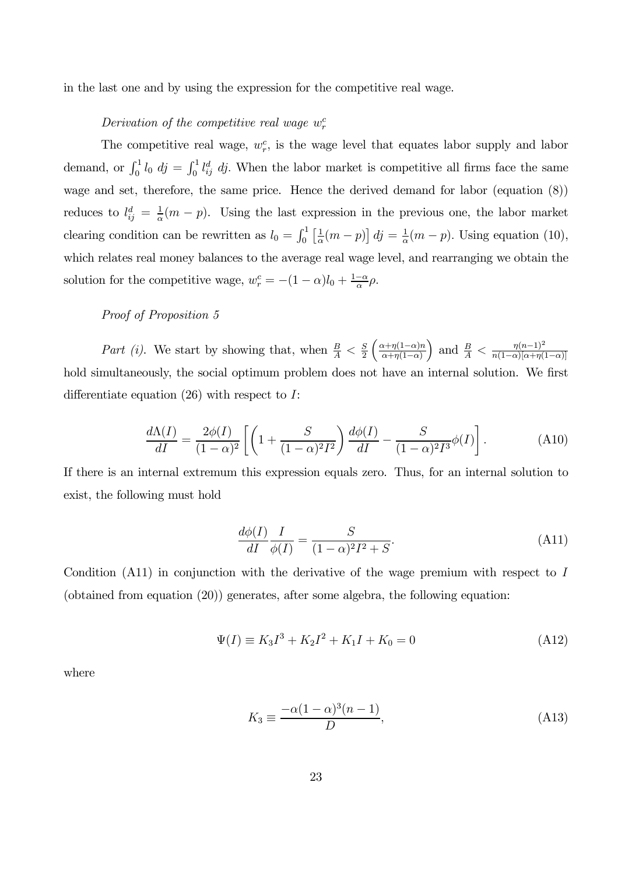in the last one and by using the expression for the competitive real wage.

# Derivation of the competitive real wage  $w_r^c$

The competitive real wage,  $w_r^c$ , is the wage level that equates labor supply and labor demand, or  $\int_0^1 l_0 \, d j = \int_0^1 l_{ij}^d \, d j$ . When the labor market is competitive all firms face the same wage and set, therefore, the same price. Hence the derived demand for labor (equation (8)) reduces to  $l_{ij}^d = \frac{1}{\alpha}(m-p)$ . Using the last expression in the previous one, the labor market clearing condition can be rewritten as  $l_0 = \int_0^1 \left[ \frac{1}{\alpha} (m - p) \right] dj = \frac{1}{\alpha} (m - p)$ . Using equation (10), which relates real money balances to the average real wage level, and rearranging we obtain the solution for the competitive wage,  $w_r^c = -(1 - \alpha)l_0 + \frac{1 - \alpha}{\alpha}\rho$ .

# Proof of Proposition 5

Part (i). We start by showing that, when  $\frac{B}{A} < \frac{S}{2} \left( \frac{\alpha + \eta(1-\alpha)n}{\alpha + \eta(1-\alpha)} \right)$  $\alpha+\eta(1-\alpha)$ ) and  $\frac{B}{A} < \frac{\eta (n-1)^2}{n(1-\alpha)[\alpha + \eta (1-\alpha)]}$ hold simultaneously, the social optimum problem does not have an internal solution. We first differentiate equation  $(26)$  with respect to I:

$$
\frac{d\Lambda(I)}{dI} = \frac{2\phi(I)}{(1-\alpha)^2} \left[ \left( 1 + \frac{S}{(1-\alpha)^2 I^2} \right) \frac{d\phi(I)}{dI} - \frac{S}{(1-\alpha)^2 I^3} \phi(I) \right].
$$
 (A10)

If there is an internal extremum this expression equals zero. Thus, for an internal solution to exist, the following must hold

$$
\frac{d\phi(I)}{dI}\frac{I}{\phi(I)} = \frac{S}{(1-\alpha)^2 I^2 + S}.\tag{A11}
$$

Condition  $(A11)$  in conjunction with the derivative of the wage premium with respect to I (obtained from equation (20)) generates, after some algebra, the following equation:

$$
\Psi(I) \equiv K_3 I^3 + K_2 I^2 + K_1 I + K_0 = 0 \tag{A12}
$$

where

$$
K_3 \equiv \frac{-\alpha (1 - \alpha)^3 (n - 1)}{D},\tag{A13}
$$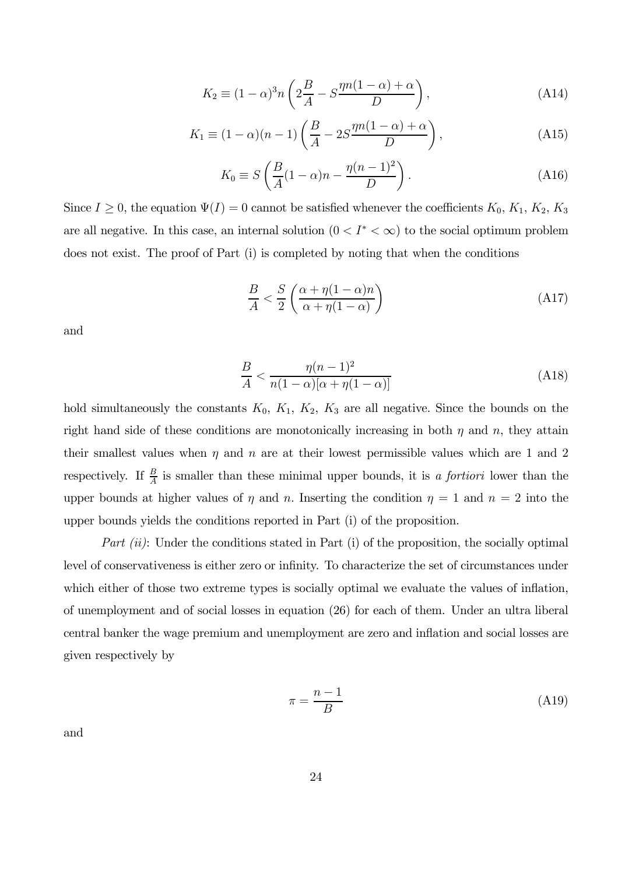$$
K_2 \equiv (1 - \alpha)^3 n \left( 2\frac{B}{A} - S\frac{\eta n (1 - \alpha) + \alpha}{D} \right),\tag{A14}
$$

$$
K_1 \equiv (1 - \alpha)(n - 1) \left( \frac{B}{A} - 2S \frac{\eta n (1 - \alpha) + \alpha}{D} \right),\tag{A15}
$$

$$
K_0 \equiv S\left(\frac{B}{A}(1-\alpha)n - \frac{\eta(n-1)^2}{D}\right). \tag{A16}
$$

Since  $I \geq 0$ , the equation  $\Psi(I)=0$  cannot be satisfied whenever the coefficients  $K_0, K_1, K_2, K_3$ are all negative. In this case, an internal solution  $(0 < I^* < \infty)$  to the social optimum problem does not exist. The proof of Part (i) is completed by noting that when the conditions

$$
\frac{B}{A} < \frac{S}{2} \left( \frac{\alpha + \eta (1 - \alpha) n}{\alpha + \eta (1 - \alpha)} \right) \tag{A17}
$$

and

$$
\frac{B}{A} < \frac{\eta (n-1)^2}{n(1-\alpha)[\alpha + \eta (1-\alpha)]} \tag{A18}
$$

hold simultaneously the constants  $K_0$ ,  $K_1$ ,  $K_2$ ,  $K_3$  are all negative. Since the bounds on the right hand side of these conditions are monotonically increasing in both  $\eta$  and  $n$ , they attain their smallest values when  $\eta$  and  $n$  are at their lowest permissible values which are 1 and 2 respectively. If  $\frac{B}{A}$  is smaller than these minimal upper bounds, it is a fortiori lower than the upper bounds at higher values of  $\eta$  and  $n$ . Inserting the condition  $\eta = 1$  and  $n = 2$  into the upper bounds yields the conditions reported in Part (i) of the proposition.

Part  $(ii)$ : Under the conditions stated in Part  $(i)$  of the proposition, the socially optimal level of conservativeness is either zero or infinity. To characterize the set of circumstances under which either of those two extreme types is socially optimal we evaluate the values of inflation, of unemployment and of social losses in equation (26) for each of them. Under an ultra liberal central banker the wage premium and unemployment are zero and inflation and social losses are given respectively by

$$
\pi = \frac{n-1}{B} \tag{A19}
$$

and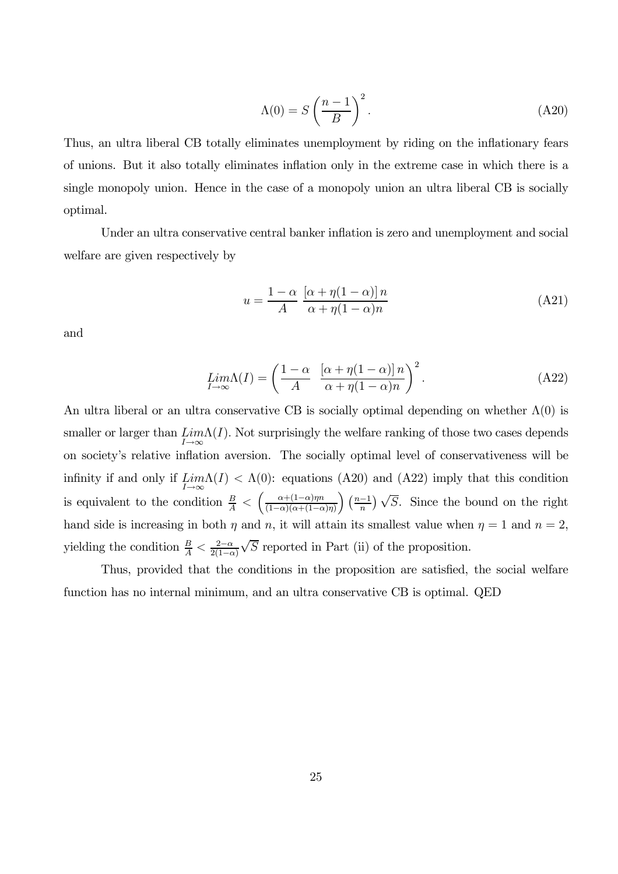$$
\Lambda(0) = S\left(\frac{n-1}{B}\right)^2.
$$
\n(A20)

Thus, an ultra liberal CB totally eliminates unemployment by riding on the inflationary fears of unions. But it also totally eliminates inflation only in the extreme case in which there is a single monopoly union. Hence in the case of a monopoly union an ultra liberal CB is socially optimal.

Under an ultra conservative central banker inflation is zero and unemployment and social welfare are given respectively by

$$
u = \frac{1 - \alpha}{A} \frac{\left[\alpha + \eta(1 - \alpha)\right]n}{\alpha + \eta(1 - \alpha)n} \tag{A21}
$$

and

$$
\lim_{I \to \infty} \Lambda(I) = \left( \frac{1 - \alpha}{A} \left[ \frac{(\alpha + \eta(1 - \alpha)) n}{\alpha + \eta(1 - \alpha)n} \right]^2 \right). \tag{A22}
$$

An ultra liberal or an ultra conservative CB is socially optimal depending on whether  $\Lambda(0)$  is smaller or larger than  $\lim_{I\to\infty} \Lambda(I)$ . Not surprisingly the welfare ranking of those two cases depends on society's relative inflation aversion. The socially optimal level of conservativeness will be infinity if and only if  $\lim_{I\to\infty}\Lambda(I) < \Lambda(0)$ : equations (A20) and (A22) imply that this condition is equivalent to the condition  $\frac{B}{A} < \left(\frac{\alpha+(1-\alpha)\eta n}{(1-\alpha)(\alpha+(1-\alpha))}\right)$  $(1-\alpha)(\alpha+(1-\alpha)\eta)$  $\left(\frac{n-1}{n}\right)\sqrt{S}$ . Since the bound on the right hand side is increasing in both  $\eta$  and  $n$ , it will attain its smallest value when  $\eta = 1$  and  $n = 2$ , yielding the condition  $\frac{B}{A} < \frac{2-\alpha}{2(1-\alpha)}$  $\sqrt{S}$  reported in Part (ii) of the proposition.

Thus, provided that the conditions in the proposition are satisfied, the social welfare function has no internal minimum, and an ultra conservative CB is optimal. QED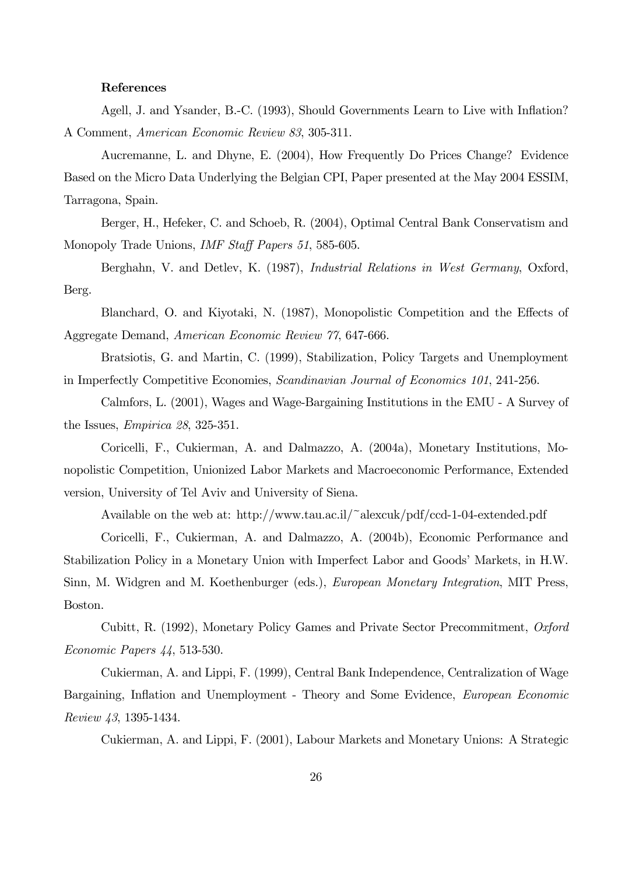# References

Agell, J. and Ysander, B.-C. (1993), Should Governments Learn to Live with Inflation? A Comment, American Economic Review 83, 305-311.

Aucremanne, L. and Dhyne, E. (2004), How Frequently Do Prices Change? Evidence Based on the Micro Data Underlying the Belgian CPI, Paper presented at the May 2004 ESSIM, Tarragona, Spain.

Berger, H., Hefeker, C. and Schoeb, R. (2004), Optimal Central Bank Conservatism and Monopoly Trade Unions, *IMF Staff Papers 51*, 585-605.

Berghahn, V. and Detlev, K. (1987), Industrial Relations in West Germany, Oxford, Berg.

Blanchard, O. and Kiyotaki, N. (1987), Monopolistic Competition and the Effects of Aggregate Demand, American Economic Review 77, 647-666.

Bratsiotis, G. and Martin, C. (1999), Stabilization, Policy Targets and Unemployment in Imperfectly Competitive Economies, Scandinavian Journal of Economics 101, 241-256.

Calmfors, L. (2001), Wages and Wage-Bargaining Institutions in the EMU - A Survey of the Issues, Empirica 28, 325-351.

Coricelli, F., Cukierman, A. and Dalmazzo, A. (2004a), Monetary Institutions, Monopolistic Competition, Unionized Labor Markets and Macroeconomic Performance, Extended version, University of Tel Aviv and University of Siena.

Available on the web at: http://www.tau.ac.il/~alexcuk/pdf/ccd-1-04-extended.pdf

Coricelli, F., Cukierman, A. and Dalmazzo, A. (2004b), Economic Performance and Stabilization Policy in a Monetary Union with Imperfect Labor and Goods' Markets, in H.W. Sinn, M. Widgren and M. Koethenburger (eds.), *European Monetary Integration*, MIT Press, Boston.

Cubitt, R. (1992), Monetary Policy Games and Private Sector Precommitment, Oxford Economic Papers 44, 513-530.

Cukierman, A. and Lippi, F. (1999), Central Bank Independence, Centralization of Wage Bargaining, Inflation and Unemployment - Theory and Some Evidence, European Economic Review 43, 1395-1434.

Cukierman, A. and Lippi, F. (2001), Labour Markets and Monetary Unions: A Strategic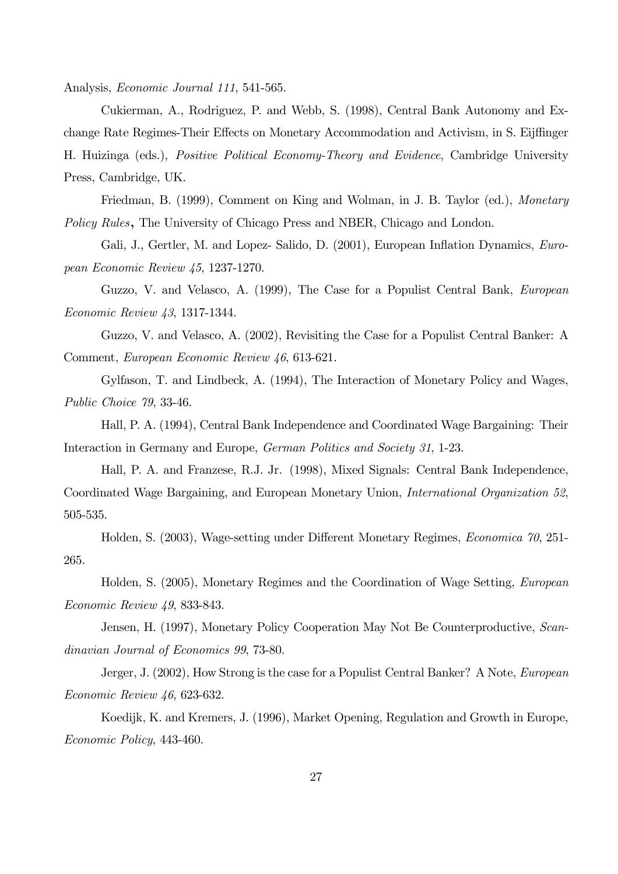Analysis, Economic Journal 111, 541-565.

Cukierman, A., Rodriguez, P. and Webb, S. (1998), Central Bank Autonomy and Exchange Rate Regimes-Their Effects on Monetary Accommodation and Activism, in S. Eijffinger H. Huizinga (eds.), Positive Political Economy-Theory and Evidence, Cambridge University Press, Cambridge, UK.

Friedman, B. (1999), Comment on King and Wolman, in J. B. Taylor (ed.), Monetary Policy Rules, The University of Chicago Press and NBER, Chicago and London.

Gali, J., Gertler, M. and Lopez- Salido, D. (2001), European Inflation Dynamics, European Economic Review 45, 1237-1270.

Guzzo, V. and Velasco, A. (1999), The Case for a Populist Central Bank, European Economic Review 43, 1317-1344.

Guzzo, V. and Velasco, A. (2002), Revisiting the Case for a Populist Central Banker: A Comment, European Economic Review 46, 613-621.

Gylfason, T. and Lindbeck, A. (1994), The Interaction of Monetary Policy and Wages, Public Choice 79, 33-46.

Hall, P. A. (1994), Central Bank Independence and Coordinated Wage Bargaining: Their Interaction in Germany and Europe, German Politics and Society 31, 1-23.

Hall, P. A. and Franzese, R.J. Jr. (1998), Mixed Signals: Central Bank Independence, Coordinated Wage Bargaining, and European Monetary Union, International Organization 52, 505-535.

Holden, S. (2003), Wage-setting under Different Monetary Regimes, Economica 70, 251- 265.

Holden, S. (2005), Monetary Regimes and the Coordination of Wage Setting, European Economic Review 49, 833-843.

Jensen, H. (1997), Monetary Policy Cooperation May Not Be Counterproductive, Scandinavian Journal of Economics 99, 73-80.

Jerger, J. (2002), How Strong is the case for a Populist Central Banker? A Note, *European* Economic Review 46, 623-632.

Koedijk, K. and Kremers, J. (1996), Market Opening, Regulation and Growth in Europe, Economic Policy, 443-460.